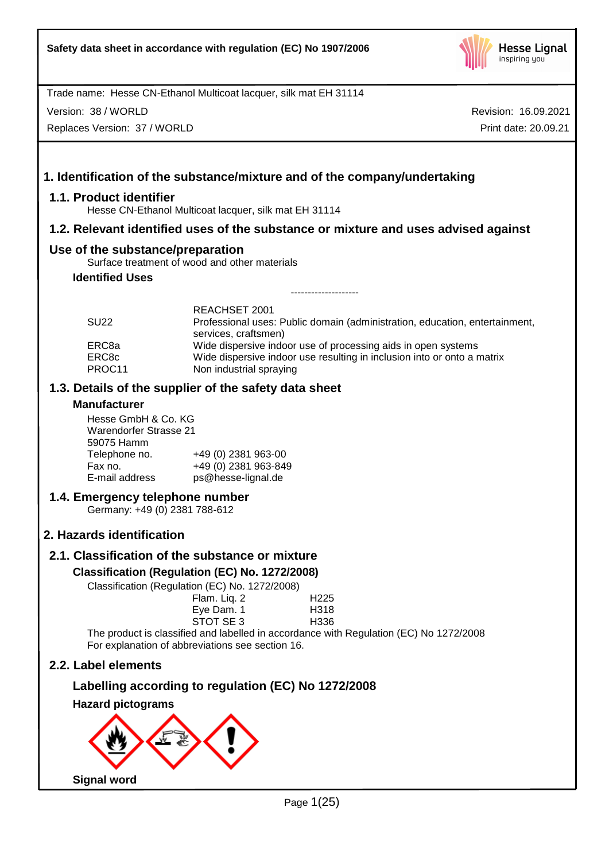

Version: 38 / WORLD

Replaces Version: 37 / WORLD

Revision: 16.09.2021 Print date: 20.09.21

# **1. Identification of the substance/mixture and of the company/undertaking**

### **1.1. Product identifier**

Hesse CN-Ethanol Multicoat lacquer, silk mat EH 31114

### **1.2. Relevant identified uses of the substance or mixture and uses advised against**

### **Use of the substance/preparation**

Surface treatment of wood and other materials

# **Identified Uses**

| <b>SU22</b>     | REACHSET 2001<br>Professional uses: Public domain (administration, education, entertainment,       |
|-----------------|----------------------------------------------------------------------------------------------------|
| ERC8a           | services, craftsmen)<br>Wide dispersive indoor use of processing aids in open systems              |
| ERC8c<br>PROC11 | Wide dispersive indoor use resulting in inclusion into or onto a matrix<br>Non industrial spraying |

--------------------

### **1.3. Details of the supplier of the safety data sheet**

### **Manufacturer**

Hesse GmbH & Co. KG Warendorfer Strasse 21 59075 Hamm Telephone no. +49 (0) 2381 963-00<br>Fax no. +49 (0) 2381 963-84 Fax no. +49 (0) 2381 963-849 ps@hesse-lignal.de

### **1.4. Emergency telephone number**

Germany: +49 (0) 2381 788-612

# **2. Hazards identification**

# **2.1. Classification of the substance or mixture**

### **Classification (Regulation (EC) No. 1272/2008)**

Classification (Regulation (EC) No. 1272/2008)

| $\frac{1}{2}$                                                                                                  |                  |
|----------------------------------------------------------------------------------------------------------------|------------------|
| Flam. Liq. 2                                                                                                   | H <sub>225</sub> |
| Eye Dam. 1                                                                                                     | H318             |
| STOT SE 3                                                                                                      | H336             |
| 2010 - Indian Andreas II and Indian Andreas Indian Andreas Indian Andreas Indian Andreas Indian Andreas Indian |                  |

The product is classified and labelled in accordance with Regulation (EC) No 1272/2008 For explanation of abbreviations see section 16.

# **2.2. Label elements**

# **Labelling according to regulation (EC) No 1272/2008**

**Hazard pictograms**

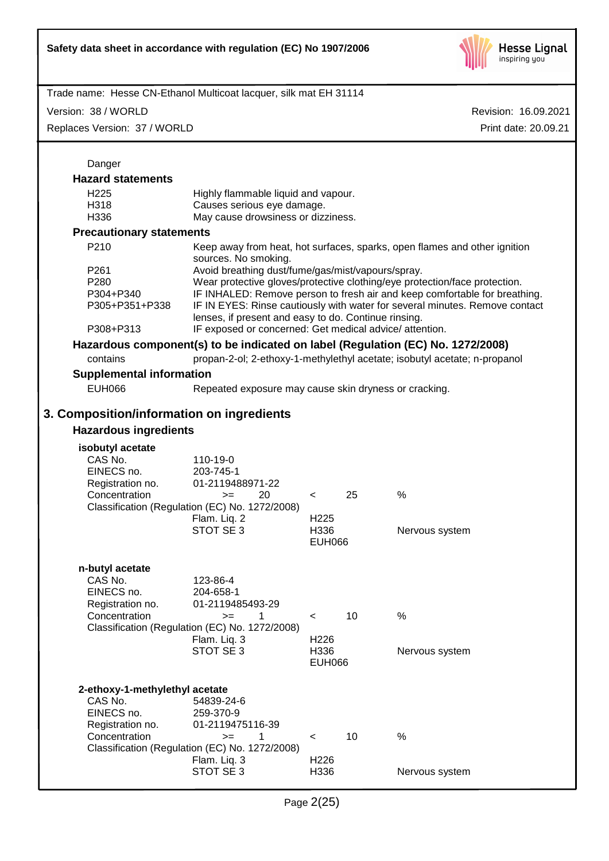

Version: 38 / WORLD

Replaces Version: 37 / WORLD

| Danger                                                                                       |                                                                                                                                                                                                                                                                                                                                                      |                                                      |    |                                                                                                                                                              |
|----------------------------------------------------------------------------------------------|------------------------------------------------------------------------------------------------------------------------------------------------------------------------------------------------------------------------------------------------------------------------------------------------------------------------------------------------------|------------------------------------------------------|----|--------------------------------------------------------------------------------------------------------------------------------------------------------------|
| <b>Hazard statements</b>                                                                     |                                                                                                                                                                                                                                                                                                                                                      |                                                      |    |                                                                                                                                                              |
| H <sub>225</sub><br>H318<br>H336                                                             | Highly flammable liquid and vapour.<br>Causes serious eye damage.<br>May cause drowsiness or dizziness.                                                                                                                                                                                                                                              |                                                      |    |                                                                                                                                                              |
| <b>Precautionary statements</b>                                                              |                                                                                                                                                                                                                                                                                                                                                      |                                                      |    |                                                                                                                                                              |
| P210                                                                                         | sources. No smoking.                                                                                                                                                                                                                                                                                                                                 |                                                      |    | Keep away from heat, hot surfaces, sparks, open flames and other ignition                                                                                    |
| P261<br>P280<br>P304+P340<br>P305+P351+P338                                                  | Avoid breathing dust/fume/gas/mist/vapours/spray.<br>Wear protective gloves/protective clothing/eye protection/face protection.<br>IF INHALED: Remove person to fresh air and keep comfortable for breathing.<br>IF IN EYES: Rinse cautiously with water for several minutes. Remove contact<br>lenses, if present and easy to do. Continue rinsing. |                                                      |    |                                                                                                                                                              |
| P308+P313                                                                                    | IF exposed or concerned: Get medical advice/attention.                                                                                                                                                                                                                                                                                               |                                                      |    |                                                                                                                                                              |
| contains                                                                                     |                                                                                                                                                                                                                                                                                                                                                      |                                                      |    | Hazardous component(s) to be indicated on label (Regulation (EC) No. 1272/2008)<br>propan-2-ol; 2-ethoxy-1-methylethyl acetate; isobutyl acetate; n-propanol |
| <b>Supplemental information</b>                                                              |                                                                                                                                                                                                                                                                                                                                                      |                                                      |    |                                                                                                                                                              |
| <b>EUH066</b>                                                                                | Repeated exposure may cause skin dryness or cracking.                                                                                                                                                                                                                                                                                                |                                                      |    |                                                                                                                                                              |
| 3. Composition/information on ingredients                                                    |                                                                                                                                                                                                                                                                                                                                                      |                                                      |    |                                                                                                                                                              |
| <b>Hazardous ingredients</b>                                                                 |                                                                                                                                                                                                                                                                                                                                                      |                                                      |    |                                                                                                                                                              |
| isobutyl acetate<br>CAS No.<br>EINECS no.<br>Registration no.<br>Concentration               | 110-19-0<br>203-745-1<br>01-2119488971-22<br>20<br>$=$<br>Classification (Regulation (EC) No. 1272/2008)<br>Flam. Liq. 2<br>STOT SE 3                                                                                                                                                                                                                | $\prec$<br>H <sub>225</sub><br>H336<br><b>EUH066</b> | 25 | %<br>Nervous system                                                                                                                                          |
| n-butyl acetate<br>CAS No.<br>EINECS no.<br>Registration no.<br>Concentration                | 123-86-4<br>204-658-1<br>01-2119485493-29<br>$> =$ 1<br>Classification (Regulation (EC) No. 1272/2008)<br>Flam. Liq. 3<br>STOT SE 3                                                                                                                                                                                                                  | $\lt$<br>H226<br>H336<br><b>EUH066</b>               | 10 | %<br>Nervous system                                                                                                                                          |
| 2-ethoxy-1-methylethyl acetate<br>CAS No.<br>EINECS no.<br>Registration no.<br>Concentration | 54839-24-6<br>259-370-9<br>01-2119475116-39<br>1<br>$>=$<br>Classification (Regulation (EC) No. 1272/2008)<br>Flam. Liq. 3<br>STOT SE 3                                                                                                                                                                                                              | $\,<\,$<br>H <sub>226</sub><br>H336                  | 10 | $\%$<br>Nervous system                                                                                                                                       |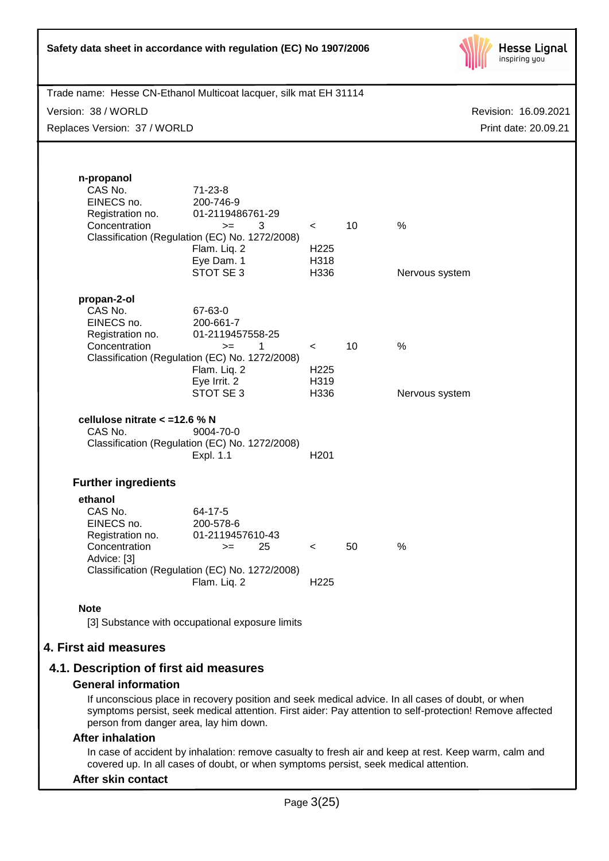| Safety data sheet in accordance with regulation (EC) No 1907/2006                                                        | <b>Hesse Lignal</b><br>inspiring you                                                                                                                            |                                             |    |                                              |
|--------------------------------------------------------------------------------------------------------------------------|-----------------------------------------------------------------------------------------------------------------------------------------------------------------|---------------------------------------------|----|----------------------------------------------|
| Trade name: Hesse CN-Ethanol Multicoat lacquer, silk mat EH 31114<br>Version: 38 / WORLD<br>Replaces Version: 37 / WORLD |                                                                                                                                                                 |                                             |    | Revision: 16.09.2021<br>Print date: 20.09.21 |
| n-propanol<br>CAS No.<br>EINECS no.<br>Registration no.<br>Concentration                                                 | $71 - 23 - 8$<br>200-746-9<br>01-2119486761-29<br>3<br>$>=$<br>Classification (Regulation (EC) No. 1272/2008)<br>Flam. Liq. 2<br>Eye Dam. 1<br>STOT SE 3        | $\prec$<br>H <sub>225</sub><br>H318<br>H336 | 10 | %<br>Nervous system                          |
| propan-2-ol<br>CAS No.<br>EINECS no.<br>Registration no.<br>Concentration                                                | 67-63-0<br>200-661-7<br>01-2119457558-25<br>$\mathbf{1}$<br>$>=$<br>Classification (Regulation (EC) No. 1272/2008)<br>Flam. Liq. 2<br>Eye Irrit. 2<br>STOT SE 3 | $\prec$<br>H <sub>225</sub><br>H319<br>H336 | 10 | %<br>Nervous system                          |
| cellulose nitrate < = 12.6 % N<br>CAS No.<br>9004-70-0<br>Classification (Regulation (EC) No. 1272/2008)<br>Expl. 1.1    |                                                                                                                                                                 |                                             |    |                                              |
| <b>Further ingredients</b>                                                                                               |                                                                                                                                                                 |                                             |    |                                              |
| ethanol<br>CAS No.<br>EINECS no.<br>Registration no.<br>Concentration<br>Advice: [3]                                     | 64-17-5<br>200-578-6<br>01-2119457610-43<br>25<br>$>=$<br>Classification (Regulation (EC) No. 1272/2008)<br>Flam. Liq. 2                                        | $\lt$<br>H <sub>225</sub>                   | 50 | %                                            |
| <b>Note</b>                                                                                                              |                                                                                                                                                                 |                                             |    |                                              |
| [3] Substance with occupational exposure limits                                                                          |                                                                                                                                                                 |                                             |    |                                              |
| 4. First aid measures                                                                                                    |                                                                                                                                                                 |                                             |    |                                              |
| 4.1. Description of first aid measures<br><b>General information</b>                                                     |                                                                                                                                                                 |                                             |    |                                              |

If unconscious place in recovery position and seek medical advice. In all cases of doubt, or when symptoms persist, seek medical attention. First aider: Pay attention to self-protection! Remove affected person from danger area, lay him down.

### **After inhalation**

In case of accident by inhalation: remove casualty to fresh air and keep at rest. Keep warm, calm and covered up. In all cases of doubt, or when symptoms persist, seek medical attention.

### **After skin contact**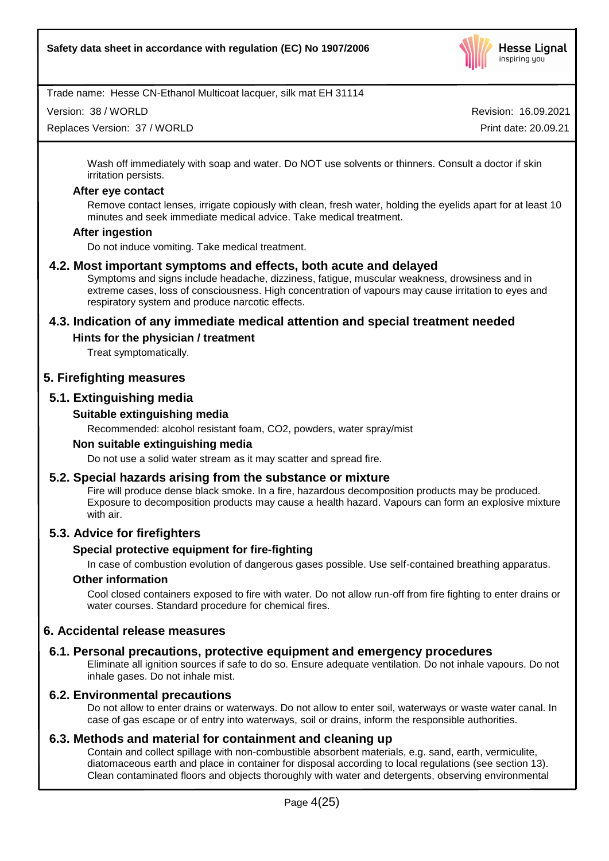

Version: 38 / WORLD

Replaces Version: 37 / WORLD

Revision: 16.09.2021 Print date: 20.09.21

Wash off immediately with soap and water. Do NOT use solvents or thinners. Consult a doctor if skin irritation persists.

### **After eye contact**

Remove contact lenses, irrigate copiously with clean, fresh water, holding the eyelids apart for at least 10 minutes and seek immediate medical advice. Take medical treatment.

### **After ingestion**

Do not induce vomiting. Take medical treatment.

### **4.2. Most important symptoms and effects, both acute and delayed**

Symptoms and signs include headache, dizziness, fatigue, muscular weakness, drowsiness and in extreme cases, loss of consciousness. High concentration of vapours may cause irritation to eyes and respiratory system and produce narcotic effects.

### **4.3. Indication of any immediate medical attention and special treatment needed**

### **Hints for the physician / treatment**

Treat symptomatically.

### **5. Firefighting measures**

# **5.1. Extinguishing media**

### **Suitable extinguishing media**

Recommended: alcohol resistant foam, CO2, powders, water spray/mist

### **Non suitable extinguishing media**

Do not use a solid water stream as it may scatter and spread fire.

### **5.2. Special hazards arising from the substance or mixture**

Fire will produce dense black smoke. In a fire, hazardous decomposition products may be produced. Exposure to decomposition products may cause a health hazard. Vapours can form an explosive mixture with air.

# **5.3. Advice for firefighters**

### **Special protective equipment for fire-fighting**

In case of combustion evolution of dangerous gases possible. Use self-contained breathing apparatus.

### **Other information**

Cool closed containers exposed to fire with water. Do not allow run-off from fire fighting to enter drains or water courses. Standard procedure for chemical fires.

### **6. Accidental release measures**

### **6.1. Personal precautions, protective equipment and emergency procedures**

Eliminate all ignition sources if safe to do so. Ensure adequate ventilation. Do not inhale vapours. Do not inhale gases. Do not inhale mist.

### **6.2. Environmental precautions**

Do not allow to enter drains or waterways. Do not allow to enter soil, waterways or waste water canal. In case of gas escape or of entry into waterways, soil or drains, inform the responsible authorities.

# **6.3. Methods and material for containment and cleaning up**

Contain and collect spillage with non-combustible absorbent materials, e.g. sand, earth, vermiculite, diatomaceous earth and place in container for disposal according to local regulations (see section 13). Clean contaminated floors and objects thoroughly with water and detergents, observing environmental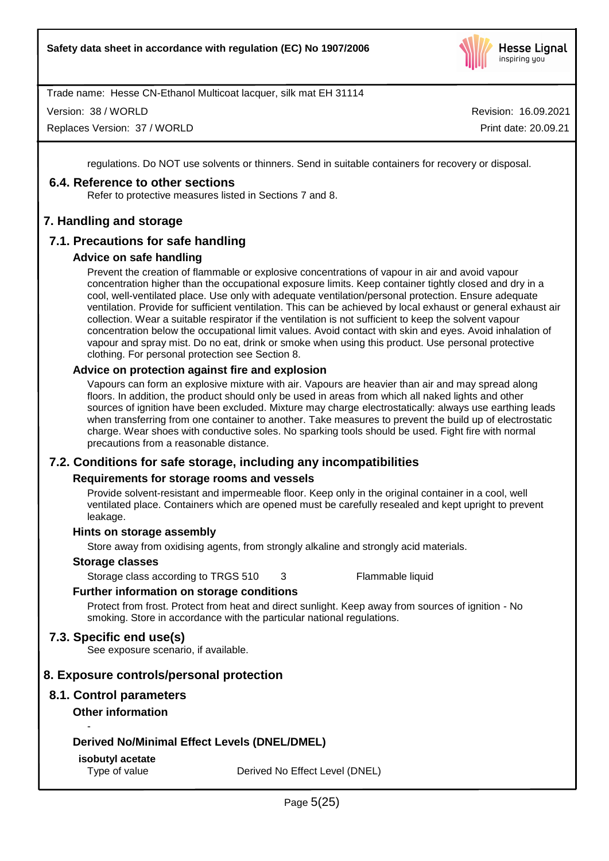

Version: 38 / WORLD

Replaces Version: 37 / WORLD

Revision: 16.09.2021 Print date: 20.09.21

regulations. Do NOT use solvents or thinners. Send in suitable containers for recovery or disposal.

### **6.4. Reference to other sections**

Refer to protective measures listed in Sections 7 and 8.

# **7. Handling and storage**

# **7.1. Precautions for safe handling**

### **Advice on safe handling**

Prevent the creation of flammable or explosive concentrations of vapour in air and avoid vapour concentration higher than the occupational exposure limits. Keep container tightly closed and dry in a cool, well-ventilated place. Use only with adequate ventilation/personal protection. Ensure adequate ventilation. Provide for sufficient ventilation. This can be achieved by local exhaust or general exhaust air collection. Wear a suitable respirator if the ventilation is not sufficient to keep the solvent vapour concentration below the occupational limit values. Avoid contact with skin and eyes. Avoid inhalation of vapour and spray mist. Do no eat, drink or smoke when using this product. Use personal protective clothing. For personal protection see Section 8.

### **Advice on protection against fire and explosion**

Vapours can form an explosive mixture with air. Vapours are heavier than air and may spread along floors. In addition, the product should only be used in areas from which all naked lights and other sources of ignition have been excluded. Mixture may charge electrostatically: always use earthing leads when transferring from one container to another. Take measures to prevent the build up of electrostatic charge. Wear shoes with conductive soles. No sparking tools should be used. Fight fire with normal precautions from a reasonable distance.

# **7.2. Conditions for safe storage, including any incompatibilities**

### **Requirements for storage rooms and vessels**

Provide solvent-resistant and impermeable floor. Keep only in the original container in a cool, well ventilated place. Containers which are opened must be carefully resealed and kept upright to prevent leakage.

### **Hints on storage assembly**

Store away from oxidising agents, from strongly alkaline and strongly acid materials.

### **Storage classes**

Storage class according to TRGS 510 3 Flammable liquid

# **Further information on storage conditions**

Protect from frost. Protect from heat and direct sunlight. Keep away from sources of ignition - No smoking. Store in accordance with the particular national regulations.

# **7.3. Specific end use(s)**

See exposure scenario, if available.

# **8. Exposure controls/personal protection**

# **8.1. Control parameters**

# **Other information**

-

# **Derived No/Minimal Effect Levels (DNEL/DMEL)**

# **isobutyl acetate**

Type of value Derived No Effect Level (DNEL)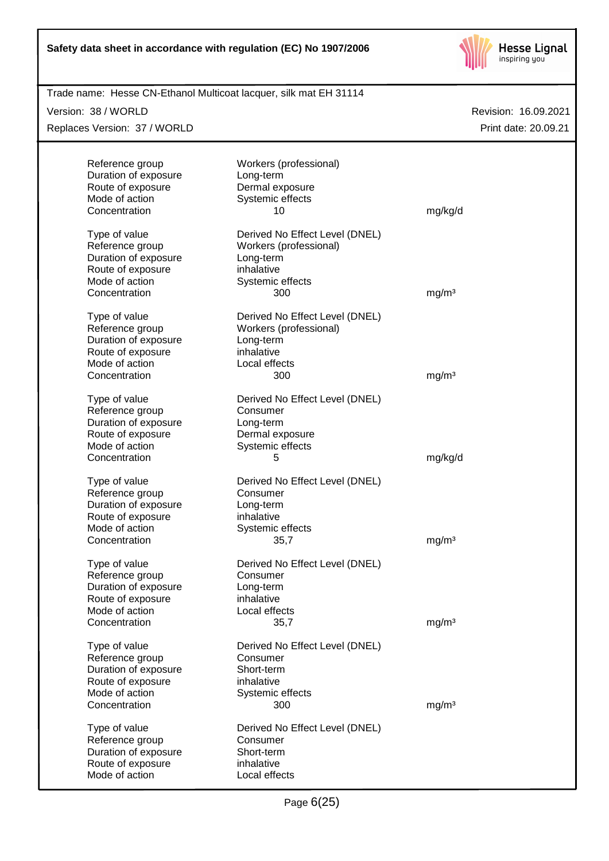

| Trade name: Hesse CN-Ethanol Multicoat lacquer, silk mat EH 31114 |                                |                      |
|-------------------------------------------------------------------|--------------------------------|----------------------|
| Version: 38 / WORLD                                               |                                | Revision: 16.09.2021 |
| Replaces Version: 37 / WORLD                                      |                                | Print date: 20.09.21 |
|                                                                   |                                |                      |
| Reference group                                                   | Workers (professional)         |                      |
| Duration of exposure                                              | Long-term                      |                      |
| Route of exposure                                                 | Dermal exposure                |                      |
| Mode of action<br>Concentration                                   | Systemic effects<br>10         | mg/kg/d              |
|                                                                   |                                |                      |
| Type of value                                                     | Derived No Effect Level (DNEL) |                      |
| Reference group                                                   | Workers (professional)         |                      |
| Duration of exposure                                              | Long-term                      |                      |
| Route of exposure                                                 | inhalative                     |                      |
| Mode of action                                                    | Systemic effects               |                      |
| Concentration                                                     | 300                            | mg/m <sup>3</sup>    |
| Type of value                                                     | Derived No Effect Level (DNEL) |                      |
| Reference group                                                   | Workers (professional)         |                      |
| Duration of exposure                                              | Long-term                      |                      |
| Route of exposure                                                 | inhalative                     |                      |
| Mode of action                                                    | Local effects                  |                      |
| Concentration                                                     | 300                            | mg/m <sup>3</sup>    |
| Type of value                                                     | Derived No Effect Level (DNEL) |                      |
| Reference group                                                   | Consumer                       |                      |
| Duration of exposure                                              | Long-term                      |                      |
| Route of exposure                                                 | Dermal exposure                |                      |
| Mode of action                                                    | Systemic effects               |                      |
| Concentration                                                     | 5                              | mg/kg/d              |
| Type of value                                                     | Derived No Effect Level (DNEL) |                      |
| Reference group                                                   | Consumer                       |                      |
| Duration of exposure                                              | Long-term                      |                      |
| Route of exposure                                                 | inhalative                     |                      |
| Mode of action                                                    | Systemic effects               |                      |
| Concentration                                                     | 35,7                           | mg/m <sup>3</sup>    |
| Type of value                                                     | Derived No Effect Level (DNEL) |                      |
| Reference group                                                   | Consumer                       |                      |
| Duration of exposure                                              | Long-term                      |                      |
| Route of exposure                                                 | inhalative                     |                      |
| Mode of action                                                    | Local effects                  |                      |
| Concentration                                                     | 35,7                           | mg/m <sup>3</sup>    |
| Type of value                                                     | Derived No Effect Level (DNEL) |                      |
| Reference group                                                   | Consumer                       |                      |
| Duration of exposure                                              | Short-term                     |                      |
| Route of exposure                                                 | inhalative                     |                      |
| Mode of action                                                    | Systemic effects               |                      |
| Concentration                                                     | 300                            | mg/m <sup>3</sup>    |
| Type of value                                                     | Derived No Effect Level (DNEL) |                      |
| Reference group                                                   | Consumer                       |                      |
| Duration of exposure                                              | Short-term                     |                      |
| Route of exposure                                                 | inhalative                     |                      |
| Mode of action                                                    | Local effects                  |                      |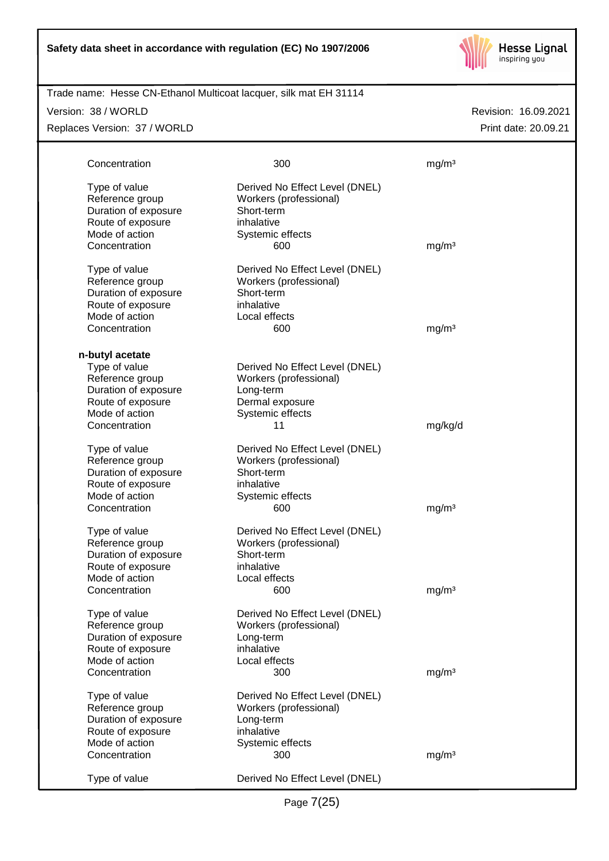

| Trade name: Hesse CN-Ethanol Multicoat lacquer, silk mat EH 31114 |
|-------------------------------------------------------------------|
|                                                                   |

### Version: 38 / WORLD

Replaces Version: 37 / WORLD

| Concentration                                                                                                    | 300                                                                                                            | mg/m <sup>3</sup> |
|------------------------------------------------------------------------------------------------------------------|----------------------------------------------------------------------------------------------------------------|-------------------|
| Type of value<br>Reference group<br>Duration of exposure<br>Route of exposure                                    | Derived No Effect Level (DNEL)<br>Workers (professional)<br>Short-term<br>inhalative                           |                   |
| Mode of action<br>Concentration                                                                                  | Systemic effects<br>600                                                                                        | mg/m <sup>3</sup> |
| Type of value<br>Reference group<br>Duration of exposure<br>Route of exposure<br>Mode of action<br>Concentration | Derived No Effect Level (DNEL)<br>Workers (professional)<br>Short-term<br>inhalative<br>Local effects<br>600   | mg/m <sup>3</sup> |
| n-butyl acetate                                                                                                  |                                                                                                                |                   |
| Type of value<br>Reference group<br>Duration of exposure<br>Route of exposure<br>Mode of action                  | Derived No Effect Level (DNEL)<br>Workers (professional)<br>Long-term<br>Dermal exposure<br>Systemic effects   |                   |
| Concentration                                                                                                    | 11                                                                                                             | mg/kg/d           |
| Type of value<br>Reference group<br>Duration of exposure<br>Route of exposure<br>Mode of action                  | Derived No Effect Level (DNEL)<br>Workers (professional)<br>Short-term<br>inhalative<br>Systemic effects       |                   |
| Concentration                                                                                                    | 600                                                                                                            | mg/m <sup>3</sup> |
| Type of value<br>Reference group<br>Duration of exposure<br>Route of exposure<br>Mode of action                  | Derived No Effect Level (DNEL)<br>Workers (professional)<br>Short-term<br>inhalative<br>Local effects          |                   |
| Concentration                                                                                                    | 600                                                                                                            | mg/m <sup>3</sup> |
| Type of value<br>Reference group<br>Duration of exposure<br>Route of exposure<br>Mode of action                  | Derived No Effect Level (DNEL)<br>Workers (professional)<br>Long-term<br>inhalative<br>Local effects           |                   |
| Concentration                                                                                                    | 300                                                                                                            | mg/m <sup>3</sup> |
| Type of value<br>Reference group<br>Duration of exposure<br>Route of exposure<br>Mode of action<br>Concentration | Derived No Effect Level (DNEL)<br>Workers (professional)<br>Long-term<br>inhalative<br>Systemic effects<br>300 | mg/m <sup>3</sup> |
| Type of value                                                                                                    | Derived No Effect Level (DNEL)                                                                                 |                   |
|                                                                                                                  |                                                                                                                |                   |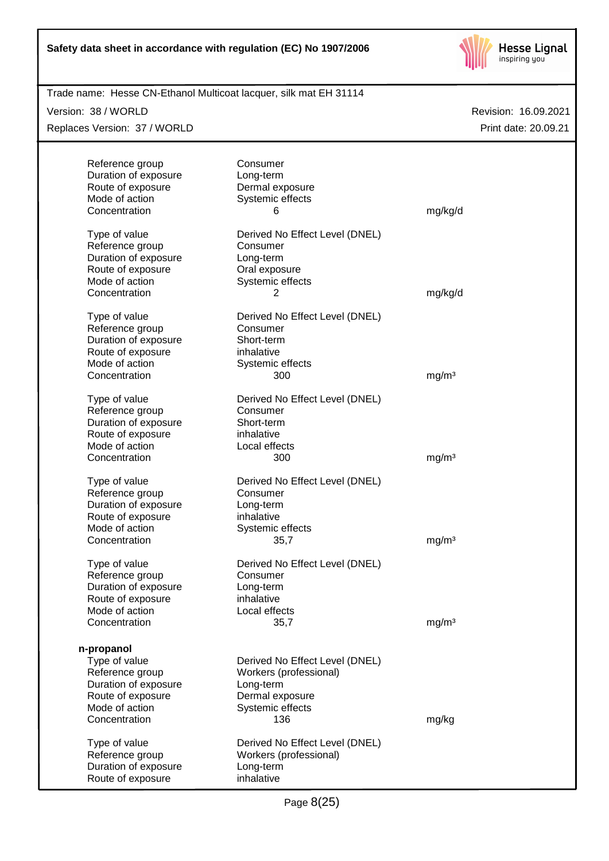

| Trade name: Hesse CN-Ethanol Multicoat lacquer, silk mat EH 31114 |                                            |                      |
|-------------------------------------------------------------------|--------------------------------------------|----------------------|
| Version: 38 / WORLD                                               |                                            | Revision: 16.09.2021 |
| Replaces Version: 37 / WORLD                                      |                                            | Print date: 20.09.21 |
|                                                                   |                                            |                      |
| Reference group                                                   | Consumer                                   |                      |
| Duration of exposure                                              | Long-term                                  |                      |
| Route of exposure<br>Mode of action                               | Dermal exposure<br>Systemic effects        |                      |
| Concentration                                                     | 6                                          | mg/kg/d              |
|                                                                   |                                            |                      |
| Type of value<br>Reference group                                  | Derived No Effect Level (DNEL)<br>Consumer |                      |
| Duration of exposure                                              | Long-term                                  |                      |
| Route of exposure                                                 | Oral exposure                              |                      |
| Mode of action                                                    | Systemic effects                           |                      |
| Concentration                                                     | 2                                          | mg/kg/d              |
| Type of value                                                     | Derived No Effect Level (DNEL)             |                      |
| Reference group                                                   | Consumer                                   |                      |
| Duration of exposure                                              | Short-term                                 |                      |
| Route of exposure                                                 | inhalative                                 |                      |
| Mode of action                                                    | Systemic effects                           |                      |
| Concentration                                                     | 300                                        | mg/m <sup>3</sup>    |
| Type of value                                                     | Derived No Effect Level (DNEL)             |                      |
| Reference group                                                   | Consumer                                   |                      |
| Duration of exposure                                              | Short-term                                 |                      |
| Route of exposure                                                 | inhalative                                 |                      |
| Mode of action                                                    | Local effects                              |                      |
| Concentration                                                     | 300                                        | mg/m <sup>3</sup>    |
| Type of value                                                     | Derived No Effect Level (DNEL)             |                      |
| Reference group                                                   | Consumer                                   |                      |
| Duration of exposure                                              | Long-term                                  |                      |
| Route of exposure                                                 | inhalative                                 |                      |
| Mode of action                                                    | Systemic effects                           |                      |
| Concentration                                                     | 35,7                                       | mg/m <sup>3</sup>    |
| Type of value                                                     | Derived No Effect Level (DNEL)             |                      |
| Reference group                                                   | Consumer                                   |                      |
| Duration of exposure                                              | Long-term                                  |                      |
| Route of exposure                                                 | inhalative                                 |                      |
| Mode of action                                                    | Local effects                              |                      |
| Concentration                                                     | 35,7                                       | mg/m <sup>3</sup>    |
| n-propanol                                                        |                                            |                      |
| Type of value                                                     | Derived No Effect Level (DNEL)             |                      |
| Reference group                                                   | Workers (professional)                     |                      |
| Duration of exposure                                              | Long-term                                  |                      |
| Route of exposure                                                 | Dermal exposure                            |                      |
| Mode of action                                                    | Systemic effects                           |                      |
| Concentration                                                     | 136                                        | mg/kg                |
| Type of value                                                     | Derived No Effect Level (DNEL)             |                      |
| Reference group                                                   | Workers (professional)                     |                      |
| Duration of exposure                                              | Long-term                                  |                      |
| Route of exposure                                                 | inhalative                                 |                      |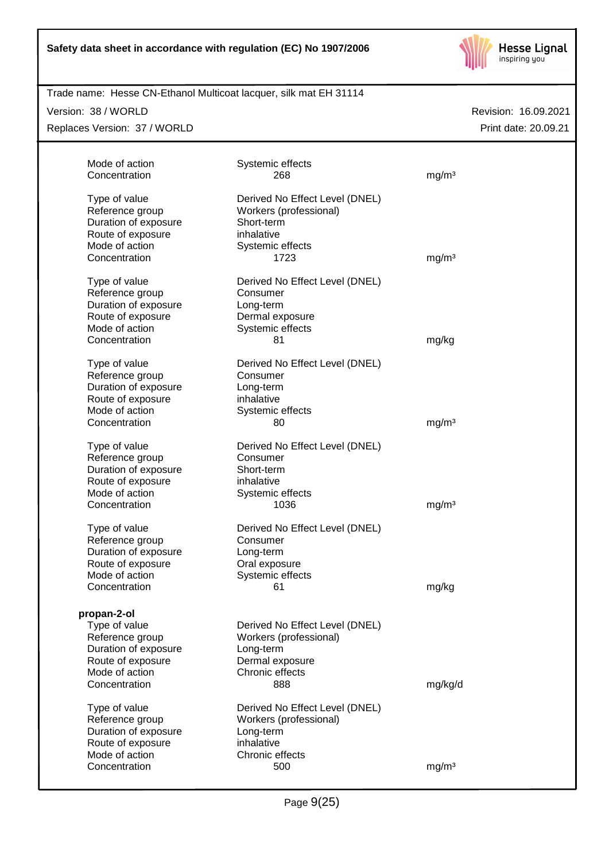

| Trade name: Hesse CN-Ethanol Multicoat lacquer, silk mat EH 31114 |  |
|-------------------------------------------------------------------|--|
|                                                                   |  |

Version: 38 / WORLD

Replaces Version: 37 / WORLD

| Mode of action                                                                | Systemic effects                                                                     |                   |  |
|-------------------------------------------------------------------------------|--------------------------------------------------------------------------------------|-------------------|--|
| Concentration                                                                 | 268                                                                                  | mg/m <sup>3</sup> |  |
| Type of value<br>Reference group<br>Duration of exposure<br>Route of exposure | Derived No Effect Level (DNEL)<br>Workers (professional)<br>Short-term<br>inhalative |                   |  |
| Mode of action                                                                | Systemic effects                                                                     |                   |  |
| Concentration                                                                 | 1723                                                                                 | mg/m <sup>3</sup> |  |
|                                                                               |                                                                                      |                   |  |
| Type of value                                                                 | Derived No Effect Level (DNEL)                                                       |                   |  |
| Reference group                                                               | Consumer                                                                             |                   |  |
| Duration of exposure                                                          | Long-term                                                                            |                   |  |
| Route of exposure                                                             | Dermal exposure                                                                      |                   |  |
| Mode of action                                                                | Systemic effects                                                                     |                   |  |
| Concentration                                                                 | 81                                                                                   | mg/kg             |  |
|                                                                               |                                                                                      |                   |  |
| Type of value                                                                 | Derived No Effect Level (DNEL)                                                       |                   |  |
| Reference group                                                               | Consumer                                                                             |                   |  |
| Duration of exposure                                                          | Long-term                                                                            |                   |  |
| Route of exposure<br>Mode of action                                           | inhalative                                                                           |                   |  |
| Concentration                                                                 | Systemic effects<br>80                                                               | mg/m <sup>3</sup> |  |
|                                                                               |                                                                                      |                   |  |
| Type of value                                                                 | Derived No Effect Level (DNEL)                                                       |                   |  |
| Reference group                                                               | Consumer                                                                             |                   |  |
| Duration of exposure                                                          | Short-term                                                                           |                   |  |
| Route of exposure                                                             | inhalative                                                                           |                   |  |
| Mode of action                                                                | Systemic effects                                                                     |                   |  |
| Concentration                                                                 | 1036                                                                                 | mg/m <sup>3</sup> |  |
|                                                                               |                                                                                      |                   |  |
| Type of value                                                                 | Derived No Effect Level (DNEL)<br>Consumer                                           |                   |  |
| Reference group<br>Duration of exposure                                       | Long-term                                                                            |                   |  |
| Route of exposure                                                             | Oral exposure                                                                        |                   |  |
| Mode of action                                                                | Systemic effects                                                                     |                   |  |
| Concentration                                                                 | 61                                                                                   | mg/kg             |  |
|                                                                               |                                                                                      |                   |  |
| propan-2-ol                                                                   |                                                                                      |                   |  |
| Type of value                                                                 | Derived No Effect Level (DNEL)                                                       |                   |  |
| Reference group                                                               | Workers (professional)                                                               |                   |  |
| Duration of exposure                                                          | Long-term                                                                            |                   |  |
| Route of exposure                                                             | Dermal exposure                                                                      |                   |  |
| Mode of action                                                                | Chronic effects                                                                      |                   |  |
| Concentration                                                                 | 888                                                                                  | mg/kg/d           |  |
|                                                                               |                                                                                      |                   |  |
| Type of value<br>Reference group                                              | Derived No Effect Level (DNEL)<br>Workers (professional)                             |                   |  |
| Duration of exposure                                                          | Long-term                                                                            |                   |  |
| Route of exposure                                                             | inhalative                                                                           |                   |  |
| Mode of action                                                                | Chronic effects                                                                      |                   |  |
| Concentration                                                                 | 500                                                                                  | mg/m <sup>3</sup> |  |
|                                                                               |                                                                                      |                   |  |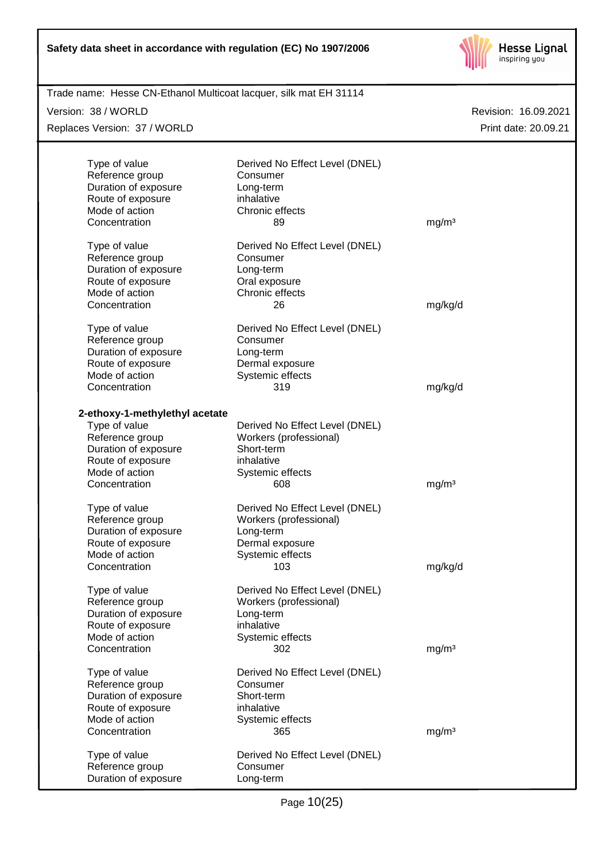

| Trade name: Hesse CN-Ethanol Multicoat lacquer, silk mat EH 31114 |                                            |                      |
|-------------------------------------------------------------------|--------------------------------------------|----------------------|
| Version: 38 / WORLD                                               |                                            | Revision: 16.09.2021 |
| Replaces Version: 37 / WORLD                                      |                                            | Print date: 20.09.21 |
|                                                                   |                                            |                      |
| Type of value<br>Reference group                                  | Derived No Effect Level (DNEL)<br>Consumer |                      |
| Duration of exposure                                              | Long-term                                  |                      |
| Route of exposure                                                 | inhalative                                 |                      |
| Mode of action                                                    | Chronic effects                            |                      |
| Concentration                                                     | 89                                         | mg/m <sup>3</sup>    |
| Type of value                                                     | Derived No Effect Level (DNEL)             |                      |
| Reference group                                                   | Consumer                                   |                      |
| Duration of exposure                                              | Long-term                                  |                      |
| Route of exposure                                                 | Oral exposure                              |                      |
| Mode of action                                                    | Chronic effects                            |                      |
| Concentration                                                     | 26                                         | mg/kg/d              |
| Type of value                                                     | Derived No Effect Level (DNEL)             |                      |
| Reference group                                                   | Consumer                                   |                      |
| Duration of exposure                                              | Long-term                                  |                      |
| Route of exposure<br>Mode of action                               | Dermal exposure                            |                      |
| Concentration                                                     | Systemic effects<br>319                    | mg/kg/d              |
|                                                                   |                                            |                      |
| 2-ethoxy-1-methylethyl acetate                                    |                                            |                      |
| Type of value                                                     | Derived No Effect Level (DNEL)             |                      |
| Reference group                                                   | Workers (professional)                     |                      |
| Duration of exposure                                              | Short-term                                 |                      |
| Route of exposure<br>Mode of action                               | inhalative<br>Systemic effects             |                      |
| Concentration                                                     | 608                                        | mg/m <sup>3</sup>    |
|                                                                   |                                            |                      |
| Type of value                                                     | Derived No Effect Level (DNEL)             |                      |
| Reference group                                                   | Workers (professional)                     |                      |
| Duration of exposure                                              | Long-term                                  |                      |
| Route of exposure<br>Mode of action                               | Dermal exposure                            |                      |
| Concentration                                                     | Systemic effects<br>103                    | mg/kg/d              |
|                                                                   |                                            |                      |
| Type of value                                                     | Derived No Effect Level (DNEL)             |                      |
| Reference group<br>Duration of exposure                           | Workers (professional)<br>Long-term        |                      |
| Route of exposure                                                 | inhalative                                 |                      |
| Mode of action                                                    | Systemic effects                           |                      |
| Concentration                                                     | 302                                        | mg/m <sup>3</sup>    |
| Type of value                                                     | Derived No Effect Level (DNEL)             |                      |
| Reference group                                                   | Consumer                                   |                      |
| Duration of exposure                                              | Short-term                                 |                      |
| Route of exposure                                                 | inhalative                                 |                      |
| Mode of action                                                    | Systemic effects                           |                      |
| Concentration                                                     | 365                                        | mg/m <sup>3</sup>    |
| Type of value                                                     | Derived No Effect Level (DNEL)             |                      |
| Reference group                                                   | Consumer                                   |                      |
| Duration of exposure                                              | Long-term                                  |                      |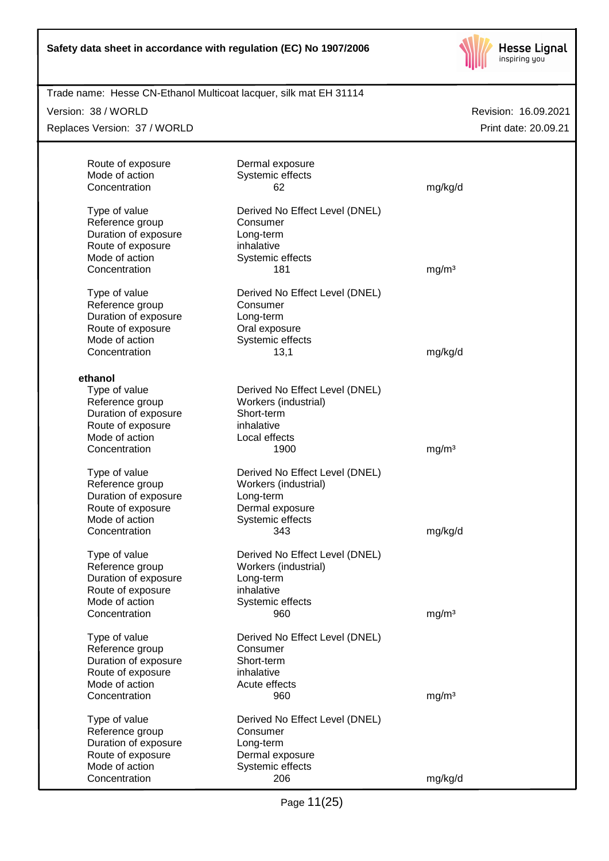

Trade name: Hesse CN-Ethanol Multicoat lacquer, silk mat EH 31114

Version: 38 / WORLD

Replaces Version: 37 / WORLD

| Route of exposure                   | Dermal exposure                |                   |
|-------------------------------------|--------------------------------|-------------------|
| Mode of action                      | Systemic effects               |                   |
| Concentration                       | 62                             | mg/kg/d           |
| Type of value                       | Derived No Effect Level (DNEL) |                   |
| Reference group                     | Consumer                       |                   |
| Duration of exposure                | Long-term                      |                   |
| Route of exposure                   | inhalative                     |                   |
| Mode of action                      | Systemic effects               |                   |
| Concentration                       | 181                            | mg/m <sup>3</sup> |
| Type of value                       | Derived No Effect Level (DNEL) |                   |
| Reference group                     | Consumer                       |                   |
| Duration of exposure                | Long-term                      |                   |
| Route of exposure                   | Oral exposure                  |                   |
| Mode of action                      | Systemic effects               |                   |
| Concentration                       | 13,1                           | mg/kg/d           |
|                                     |                                |                   |
| ethanol                             |                                |                   |
| Type of value                       | Derived No Effect Level (DNEL) |                   |
| Reference group                     | Workers (industrial)           |                   |
| Duration of exposure                | Short-term                     |                   |
| Route of exposure                   | inhalative                     |                   |
| Mode of action                      | Local effects                  |                   |
| Concentration                       | 1900                           | mg/m <sup>3</sup> |
| Type of value                       | Derived No Effect Level (DNEL) |                   |
| Reference group                     | Workers (industrial)           |                   |
| Duration of exposure                | Long-term                      |                   |
| Route of exposure                   | Dermal exposure                |                   |
| Mode of action                      | Systemic effects               |                   |
| Concentration                       | 343                            | mg/kg/d           |
| Type of value                       | Derived No Effect Level (DNEL) |                   |
| Reference group                     | Workers (industrial)           |                   |
| Duration of exposure                | Long-term                      |                   |
| Route of exposure                   | inhalative                     |                   |
| Mode of action                      | Systemic effects               |                   |
| Concentration                       | 960                            | mg/m <sup>3</sup> |
|                                     |                                |                   |
| Type of value                       | Derived No Effect Level (DNEL) |                   |
| Reference group                     | Consumer                       |                   |
| Duration of exposure                | Short-term                     |                   |
| Route of exposure<br>Mode of action | inhalative                     |                   |
| Concentration                       | Acute effects<br>960           |                   |
|                                     |                                | mg/m <sup>3</sup> |
| Type of value                       | Derived No Effect Level (DNEL) |                   |
| Reference group                     | Consumer                       |                   |
| Duration of exposure                | Long-term                      |                   |
| Route of exposure                   | Dermal exposure                |                   |
| Mode of action                      | Systemic effects               |                   |
| Concentration                       | 206                            | mg/kg/d           |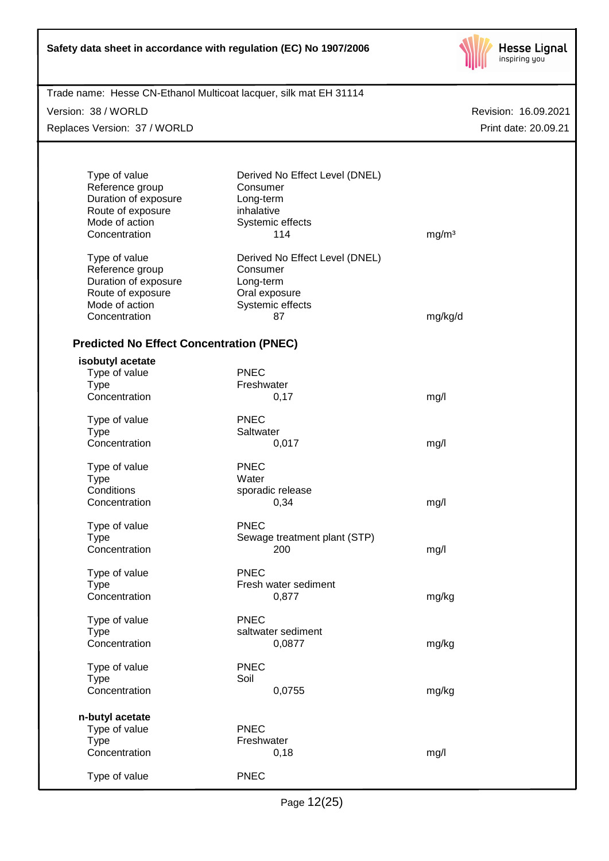

| Trade name: Hesse CN-Ethanol Multicoat lacquer, silk mat EH 31114<br>Version: 38 / WORLD |                                | Revision: 16.09.2021 |
|------------------------------------------------------------------------------------------|--------------------------------|----------------------|
| Replaces Version: 37 / WORLD                                                             |                                | Print date: 20.09.21 |
|                                                                                          |                                |                      |
| Type of value                                                                            | Derived No Effect Level (DNEL) |                      |
| Reference group                                                                          | Consumer                       |                      |
| Duration of exposure                                                                     | Long-term                      |                      |
| Route of exposure                                                                        | inhalative                     |                      |
| Mode of action<br>Concentration                                                          | Systemic effects<br>114        | mg/m <sup>3</sup>    |
|                                                                                          |                                |                      |
| Type of value                                                                            | Derived No Effect Level (DNEL) |                      |
| Reference group                                                                          | Consumer                       |                      |
| Duration of exposure                                                                     | Long-term                      |                      |
| Route of exposure                                                                        | Oral exposure                  |                      |
| Mode of action                                                                           | Systemic effects               |                      |
| Concentration                                                                            | 87                             | mg/kg/d              |
| <b>Predicted No Effect Concentration (PNEC)</b>                                          |                                |                      |
| isobutyl acetate                                                                         |                                |                      |
| Type of value                                                                            | <b>PNEC</b>                    |                      |
| <b>Type</b>                                                                              | Freshwater                     |                      |
| Concentration                                                                            | 0,17                           | mg/l                 |
| Type of value                                                                            | <b>PNEC</b>                    |                      |
| <b>Type</b>                                                                              | Saltwater                      |                      |
| Concentration                                                                            | 0,017                          | mg/l                 |
| Type of value                                                                            | <b>PNEC</b>                    |                      |
| <b>Type</b>                                                                              | Water                          |                      |
| Conditions                                                                               | sporadic release               |                      |
| Concentration                                                                            | 0,34                           | mg/l                 |
| Type of value                                                                            | <b>PNEC</b>                    |                      |
| Type                                                                                     | Sewage treatment plant (STP)   |                      |
| Concentration                                                                            | 200                            | mg/l                 |
|                                                                                          |                                |                      |
| Type of value                                                                            | <b>PNEC</b>                    |                      |
| <b>Type</b>                                                                              | Fresh water sediment           |                      |
| Concentration                                                                            | 0,877                          | mg/kg                |
| Type of value                                                                            | <b>PNEC</b>                    |                      |
| <b>Type</b>                                                                              | saltwater sediment             |                      |
| Concentration                                                                            | 0,0877                         | mg/kg                |
| Type of value                                                                            | <b>PNEC</b>                    |                      |
| <b>Type</b>                                                                              | Soil                           |                      |
| Concentration                                                                            | 0,0755                         | mg/kg                |
| n-butyl acetate                                                                          |                                |                      |
| Type of value                                                                            | <b>PNEC</b>                    |                      |
| <b>Type</b>                                                                              | Freshwater                     |                      |
| Concentration                                                                            | 0,18                           | mg/l                 |
|                                                                                          |                                |                      |
| Type of value                                                                            | <b>PNEC</b>                    |                      |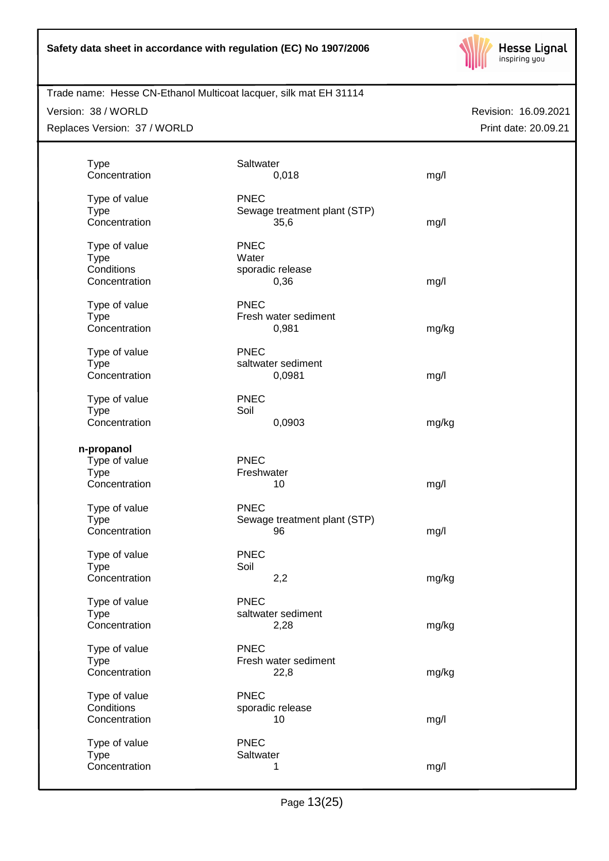

#### Version: 38 / WORLD

Replaces Version: 37 / WORLD

| <b>Type</b><br>Concentration                                | Saltwater<br>0,018                                  | mg/l  |
|-------------------------------------------------------------|-----------------------------------------------------|-------|
| Type of value<br><b>Type</b><br>Concentration               | <b>PNEC</b><br>Sewage treatment plant (STP)<br>35,6 | mg/l  |
| Type of value<br><b>Type</b><br>Conditions<br>Concentration | <b>PNEC</b><br>Water<br>sporadic release<br>0,36    | mg/l  |
| Type of value<br><b>Type</b><br>Concentration               | <b>PNEC</b><br>Fresh water sediment<br>0,981        | mg/kg |
| Type of value<br><b>Type</b><br>Concentration               | <b>PNEC</b><br>saltwater sediment<br>0,0981         | mg/l  |
| Type of value<br><b>Type</b><br>Concentration               | <b>PNEC</b><br>Soil<br>0,0903                       | mg/kg |
| n-propanol<br>Type of value<br><b>Type</b><br>Concentration | <b>PNEC</b><br>Freshwater<br>10                     | mg/l  |
| Type of value<br><b>Type</b><br>Concentration               | <b>PNEC</b><br>Sewage treatment plant (STP)<br>96   | mg/l  |
| Type of value<br><b>Type</b><br>Concentration               | <b>PNEC</b><br>Soil<br>2,2                          | mg/kg |
| Type of value<br><b>Type</b><br>Concentration               | <b>PNEC</b><br>saltwater sediment<br>2,28           | mg/kg |
| Type of value<br><b>Type</b><br>Concentration               | <b>PNEC</b><br>Fresh water sediment<br>22,8         | mg/kg |
| Type of value<br>Conditions<br>Concentration                | <b>PNEC</b><br>sporadic release<br>10               | mg/l  |
| Type of value<br><b>Type</b><br>Concentration               | <b>PNEC</b><br>Saltwater<br>1                       | mg/l  |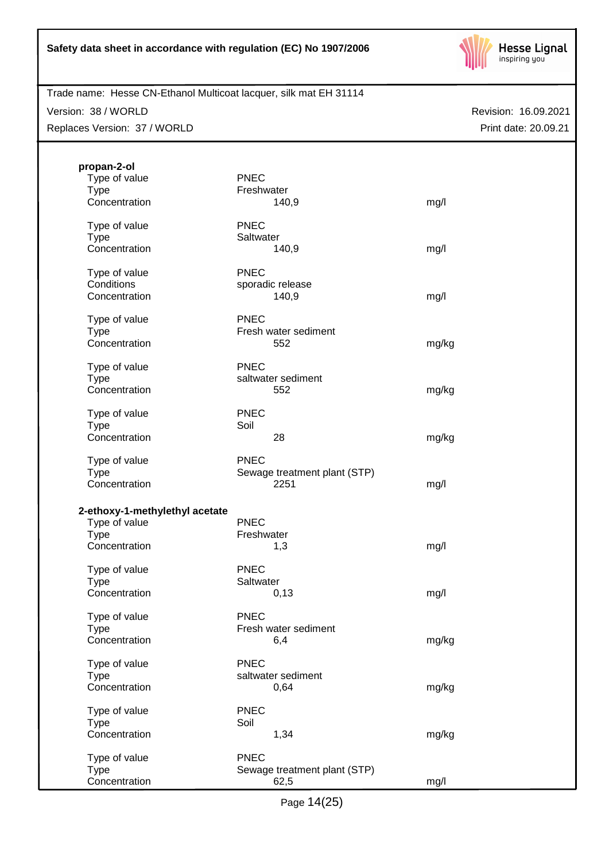

Trade name: Hesse CN-Ethanol Multicoat lacquer, silk mat EH 31114

Version: 38 / WORLD

Replaces Version: 37 / WORLD

| propan-2-ol                    |                              |       |
|--------------------------------|------------------------------|-------|
| Type of value                  | <b>PNEC</b>                  |       |
| <b>Type</b>                    | Freshwater                   |       |
| Concentration                  | 140,9                        | mg/l  |
| Type of value                  | <b>PNEC</b>                  |       |
| <b>Type</b>                    | Saltwater                    |       |
| Concentration                  | 140,9                        | mg/l  |
| Type of value                  | <b>PNEC</b>                  |       |
| Conditions                     | sporadic release             |       |
| Concentration                  | 140,9                        | mg/l  |
| Type of value                  | <b>PNEC</b>                  |       |
| <b>Type</b>                    | Fresh water sediment         |       |
| Concentration                  | 552                          | mg/kg |
| Type of value                  | <b>PNEC</b>                  |       |
| <b>Type</b>                    | saltwater sediment           |       |
| Concentration                  | 552                          | mg/kg |
| Type of value                  | <b>PNEC</b>                  |       |
| <b>Type</b>                    | Soil                         |       |
| Concentration                  | 28                           | mg/kg |
| Type of value                  | <b>PNEC</b>                  |       |
| <b>Type</b>                    | Sewage treatment plant (STP) |       |
| Concentration                  | 2251                         | mg/l  |
| 2-ethoxy-1-methylethyl acetate |                              |       |
| Type of value                  | <b>PNEC</b>                  |       |
| <b>Type</b>                    | Freshwater                   |       |
| Concentration                  | 1,3                          | mg/l  |
| Type of value                  | <b>PNEC</b>                  |       |
| <b>Type</b>                    | Saltwater                    |       |
| Concentration                  | 0,13                         | mg/l  |
| Type of value                  | <b>PNEC</b>                  |       |
| <b>Type</b>                    | Fresh water sediment         |       |
| Concentration                  | 6,4                          | mg/kg |
| Type of value                  | <b>PNEC</b>                  |       |
| <b>Type</b>                    | saltwater sediment           |       |
| Concentration                  | 0,64                         | mg/kg |
| Type of value                  | <b>PNEC</b>                  |       |
| <b>Type</b>                    | Soil                         |       |
| Concentration                  | 1,34                         | mg/kg |
| Type of value                  | <b>PNEC</b>                  |       |
| <b>Type</b>                    | Sewage treatment plant (STP) |       |
| Concentration                  | 62,5                         | mg/l  |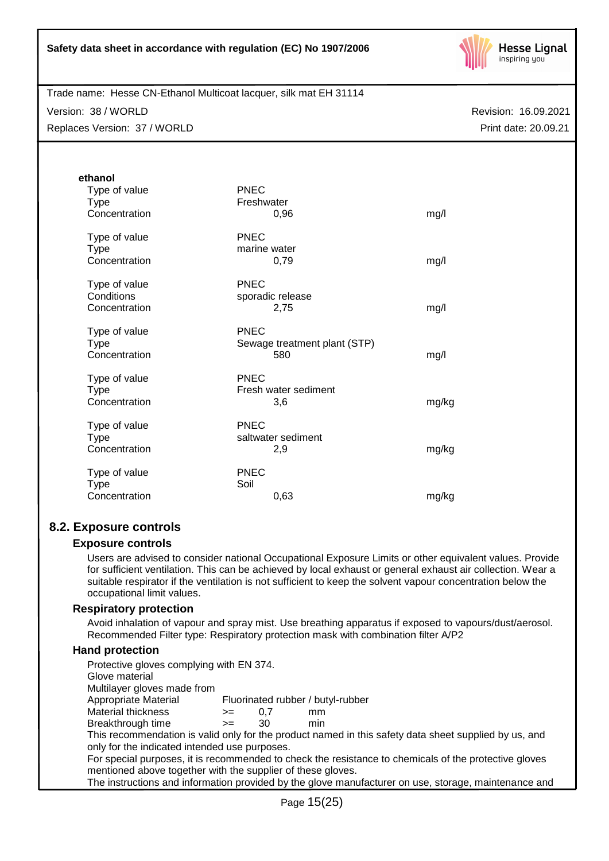

Trade name: Hesse CN-Ethanol Multicoat lacquer, silk mat EH 31114

Version: 38 / WORLD Replaces Version: 37 / WORLD Revision: 16.09.2021 Print date: 20.09.21

| ethanol<br>Type of value<br><b>Type</b><br>Concentration | <b>PNEC</b><br>Freshwater<br>0,96                  | mg/l  |
|----------------------------------------------------------|----------------------------------------------------|-------|
| Type of value<br><b>Type</b><br>Concentration            | <b>PNEC</b><br>marine water<br>0,79                | mg/l  |
| Type of value<br>Conditions<br>Concentration             | <b>PNEC</b><br>sporadic release<br>2,75            | mg/l  |
| Type of value<br><b>Type</b><br>Concentration            | <b>PNEC</b><br>Sewage treatment plant (STP)<br>580 | mg/l  |
| Type of value<br><b>Type</b><br>Concentration            | <b>PNEC</b><br>Fresh water sediment<br>3,6         | mg/kg |
| Type of value<br><b>Type</b><br>Concentration            | <b>PNEC</b><br>saltwater sediment<br>2,9           | mg/kg |
| Type of value<br><b>Type</b><br>Concentration            | <b>PNEC</b><br>Soil<br>0,63                        | mg/kg |

# **8.2. Exposure controls**

# **Exposure controls**

Users are advised to consider national Occupational Exposure Limits or other equivalent values. Provide for sufficient ventilation. This can be achieved by local exhaust or general exhaust air collection. Wear a suitable respirator if the ventilation is not sufficient to keep the solvent vapour concentration below the occupational limit values.

# **Respiratory protection**

Avoid inhalation of vapour and spray mist. Use breathing apparatus if exposed to vapours/dust/aerosol. Recommended Filter type: Respiratory protection mask with combination filter A/P2

# **Hand protection**

| Protective gloves complying with EN 374.                                                             |      |     |                                                                                                       |  |
|------------------------------------------------------------------------------------------------------|------|-----|-------------------------------------------------------------------------------------------------------|--|
| Glove material                                                                                       |      |     |                                                                                                       |  |
| Multilayer gloves made from                                                                          |      |     |                                                                                                       |  |
| Appropriate Material                                                                                 |      |     | Fluorinated rubber / butyl-rubber                                                                     |  |
| Material thickness                                                                                   | $>=$ | 0.7 | mm                                                                                                    |  |
| Breakthrough time                                                                                    | $>=$ | 30  | min                                                                                                   |  |
|                                                                                                      |      |     | This recommendation is valid only for the product named in this safety data sheet supplied by us, and |  |
| only for the indicated intended use purposes.                                                        |      |     |                                                                                                       |  |
|                                                                                                      |      |     | For special purposes, it is recommended to check the resistance to chemicals of the protective gloves |  |
| mentioned above together with the supplier of these gloves.                                          |      |     |                                                                                                       |  |
| The instructions and information provided by the glove manufacturer on use, storage, maintenance and |      |     |                                                                                                       |  |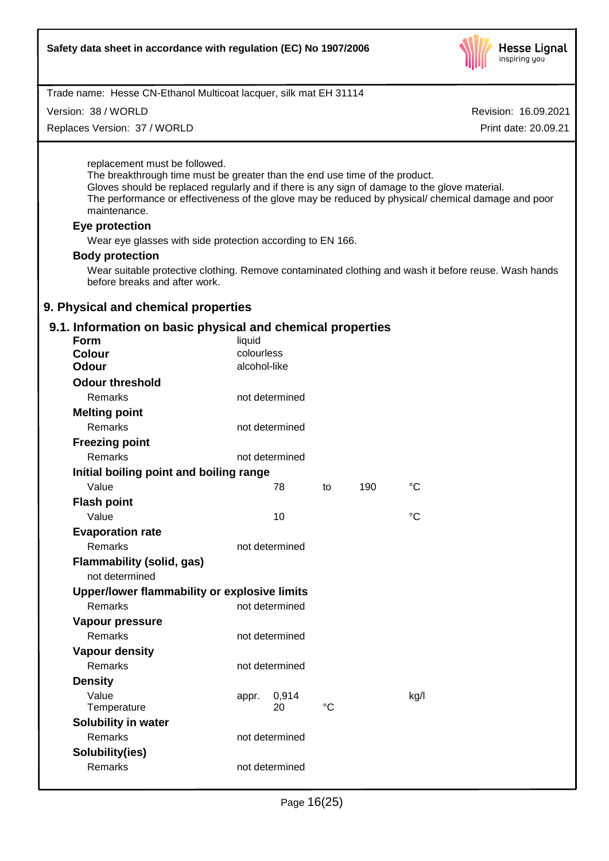

Version: 38 / WORLD

Replaces Version: 37 / WORLD

Revision: 16.09.2021

Print date: 20.09.21

replacement must be followed.

The breakthrough time must be greater than the end use time of the product. Gloves should be replaced regularly and if there is any sign of damage to the glove material. The performance or effectiveness of the glove may be reduced by physical/ chemical damage and poor maintenance.

### **Eye protection**

Wear eye glasses with side protection according to EN 166.

### **Body protection**

Wear suitable protective clothing. Remove contaminated clothing and wash it before reuse. Wash hands before breaks and after work.

### **9. Physical and chemical properties**

# **9.1. Information on basic physical and chemical properties**

| Form                                         | liquid       |                |             |     |                 |
|----------------------------------------------|--------------|----------------|-------------|-----|-----------------|
| <b>Colour</b>                                | colourless   |                |             |     |                 |
| <b>Odour</b>                                 | alcohol-like |                |             |     |                 |
| <b>Odour threshold</b>                       |              |                |             |     |                 |
| Remarks                                      |              | not determined |             |     |                 |
| <b>Melting point</b>                         |              |                |             |     |                 |
| <b>Remarks</b>                               |              | not determined |             |     |                 |
| <b>Freezing point</b>                        |              |                |             |     |                 |
| <b>Remarks</b>                               |              | not determined |             |     |                 |
| Initial boiling point and boiling range      |              |                |             |     |                 |
| Value                                        |              | 78             | to          | 190 | °C              |
| <b>Flash point</b>                           |              |                |             |     |                 |
| Value                                        |              | 10             |             |     | $\rm ^{\circ}C$ |
| <b>Evaporation rate</b>                      |              |                |             |     |                 |
| Remarks                                      |              | not determined |             |     |                 |
| <b>Flammability (solid, gas)</b>             |              |                |             |     |                 |
| not determined                               |              |                |             |     |                 |
| Upper/lower flammability or explosive limits |              |                |             |     |                 |
| Remarks                                      |              | not determined |             |     |                 |
| Vapour pressure                              |              |                |             |     |                 |
| <b>Remarks</b>                               |              | not determined |             |     |                 |
| <b>Vapour density</b>                        |              |                |             |     |                 |
| <b>Remarks</b>                               |              | not determined |             |     |                 |
| <b>Density</b>                               |              |                |             |     |                 |
| Value                                        | appr.        | 0,914          |             |     | kg/l            |
| Temperature                                  |              | 20             | $^{\circ}C$ |     |                 |
| <b>Solubility in water</b>                   |              |                |             |     |                 |
| Remarks                                      |              | not determined |             |     |                 |
| Solubility(ies)                              |              |                |             |     |                 |
| Remarks                                      |              | not determined |             |     |                 |
|                                              |              |                |             |     |                 |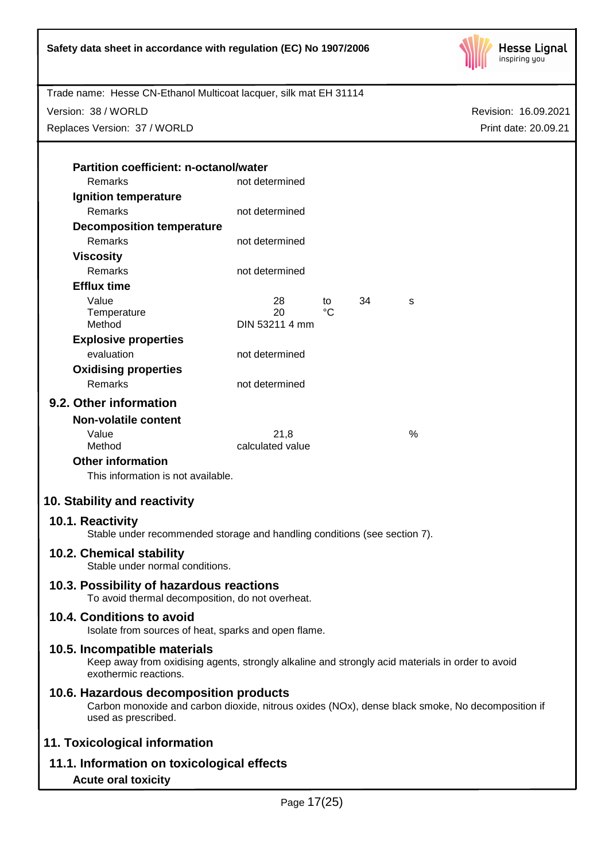

Version: 38 / WORLD

Replaces Version: 37 / WORLD

Revision: 16.09.2021 Print date: 20.09.21

| <b>Partition coefficient: n-octanol/water</b> |                      |    |    |   |
|-----------------------------------------------|----------------------|----|----|---|
| Remarks                                       | not determined       |    |    |   |
| Ignition temperature                          |                      |    |    |   |
| <b>Remarks</b>                                | not determined       |    |    |   |
| <b>Decomposition temperature</b>              |                      |    |    |   |
| Remarks                                       | not determined       |    |    |   |
| Viscosity                                     |                      |    |    |   |
| Remarks                                       | not determined       |    |    |   |
| <b>Efflux time</b>                            |                      |    |    |   |
| Value                                         | 28                   | to | 34 | S |
| Temperature<br>Method                         | 20<br>DIN 53211 4 mm | °C |    |   |
|                                               |                      |    |    |   |
| <b>Explosive properties</b><br>evaluation     |                      |    |    |   |
|                                               | not determined       |    |    |   |
| <b>Oxidising properties</b>                   |                      |    |    |   |
| Remarks                                       | not determined       |    |    |   |
| 9.2. Other information                        |                      |    |    |   |
| Non-volatile content                          |                      |    |    |   |
|                                               |                      |    |    |   |

| calculated value |   |
|------------------|---|
| 21.8             | % |
|                  |   |

# **Other information**

This information is not available.

# **10. Stability and reactivity**

# **10.1. Reactivity**

Stable under recommended storage and handling conditions (see section 7).

# **10.2. Chemical stability**

Stable under normal conditions.

# **10.3. Possibility of hazardous reactions**

To avoid thermal decomposition, do not overheat.

# **10.4. Conditions to avoid**

Isolate from sources of heat, sparks and open flame.

# **10.5. Incompatible materials**

Keep away from oxidising agents, strongly alkaline and strongly acid materials in order to avoid exothermic reactions.

# **10.6. Hazardous decomposition products**

Carbon monoxide and carbon dioxide, nitrous oxides (NOx), dense black smoke, No decomposition if used as prescribed.

# **11. Toxicological information**

**11.1. Information on toxicological effects**

# **Acute oral toxicity**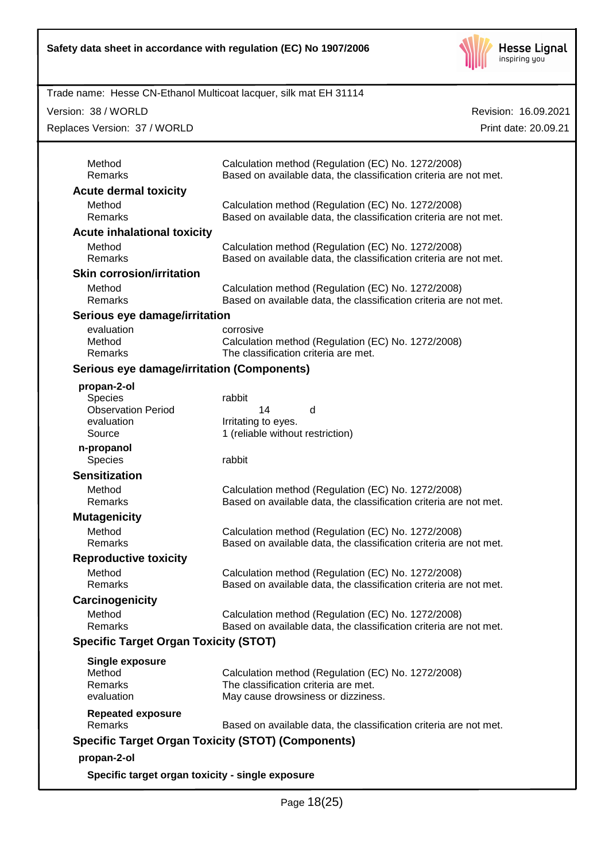

Version: 38 / WORLD

Replaces Version: 37 / WORLD

| Method                                                    | Calculation method (Regulation (EC) No. 1272/2008)                                                                      |
|-----------------------------------------------------------|-------------------------------------------------------------------------------------------------------------------------|
| <b>Remarks</b>                                            | Based on available data, the classification criteria are not met.                                                       |
| <b>Acute dermal toxicity</b>                              |                                                                                                                         |
| Method<br>Remarks                                         | Calculation method (Regulation (EC) No. 1272/2008)<br>Based on available data, the classification criteria are not met. |
| <b>Acute inhalational toxicity</b>                        |                                                                                                                         |
| Method<br><b>Remarks</b>                                  | Calculation method (Regulation (EC) No. 1272/2008)<br>Based on available data, the classification criteria are not met. |
| <b>Skin corrosion/irritation</b>                          |                                                                                                                         |
| Method<br><b>Remarks</b>                                  | Calculation method (Regulation (EC) No. 1272/2008)<br>Based on available data, the classification criteria are not met. |
| Serious eye damage/irritation                             |                                                                                                                         |
| evaluation                                                | corrosive                                                                                                               |
| Method<br>Remarks                                         | Calculation method (Regulation (EC) No. 1272/2008)<br>The classification criteria are met.                              |
| Serious eye damage/irritation (Components)                |                                                                                                                         |
| propan-2-ol                                               |                                                                                                                         |
| Species                                                   | rabbit                                                                                                                  |
| <b>Observation Period</b>                                 | 14<br>d                                                                                                                 |
| evaluation<br>Source                                      | Irritating to eyes.<br>1 (reliable without restriction)                                                                 |
|                                                           |                                                                                                                         |
| n-propanol<br>Species                                     | rabbit                                                                                                                  |
| <b>Sensitization</b>                                      |                                                                                                                         |
| Method<br><b>Remarks</b>                                  | Calculation method (Regulation (EC) No. 1272/2008)<br>Based on available data, the classification criteria are not met. |
| <b>Mutagenicity</b>                                       |                                                                                                                         |
| Method                                                    | Calculation method (Regulation (EC) No. 1272/2008)                                                                      |
| <b>Remarks</b>                                            | Based on available data, the classification criteria are not met.                                                       |
| <b>Reproductive toxicity</b>                              |                                                                                                                         |
| Method<br>Remarks                                         | Calculation method (Regulation (EC) No. 1272/2008)<br>Based on available data, the classification criteria are not met. |
| Carcinogenicity                                           |                                                                                                                         |
| Method<br>Remarks                                         | Calculation method (Regulation (EC) No. 1272/2008)<br>Based on available data, the classification criteria are not met. |
| <b>Specific Target Organ Toxicity (STOT)</b>              |                                                                                                                         |
| Single exposure                                           |                                                                                                                         |
| Method                                                    | Calculation method (Regulation (EC) No. 1272/2008)                                                                      |
| Remarks<br>evaluation                                     | The classification criteria are met.<br>May cause drowsiness or dizziness.                                              |
| <b>Repeated exposure</b>                                  |                                                                                                                         |
| Remarks                                                   | Based on available data, the classification criteria are not met.                                                       |
| <b>Specific Target Organ Toxicity (STOT) (Components)</b> |                                                                                                                         |
| propan-2-ol                                               |                                                                                                                         |
| Specific target organ toxicity - single exposure          |                                                                                                                         |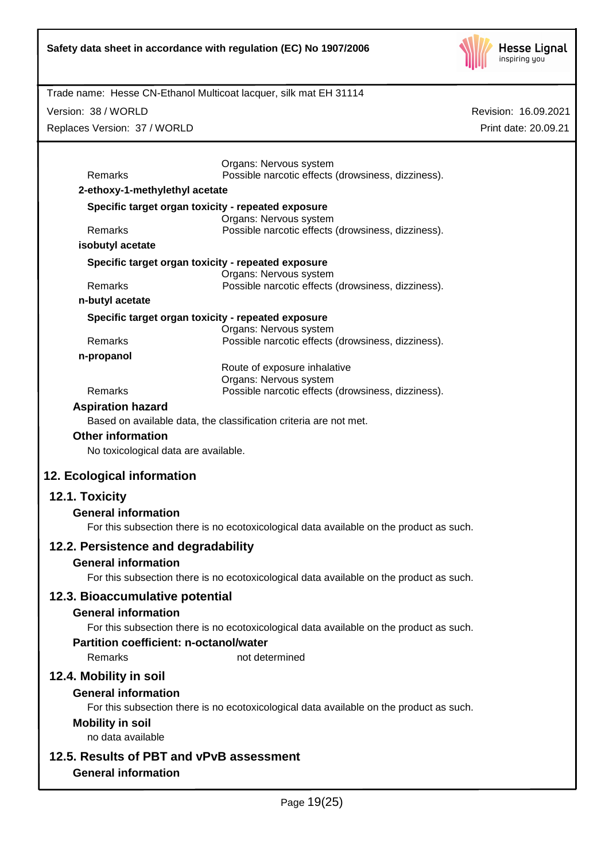

Revision: 16.09.2021

Print date: 20.09.21

Trade name: Hesse CN-Ethanol Multicoat lacquer, silk mat EH 31114

Version: 38 / WORLD

Replaces Version: 37 / WORLD

|                                                    | Organs: Nervous system                                                                  |  |  |
|----------------------------------------------------|-----------------------------------------------------------------------------------------|--|--|
| Remarks<br>2-ethoxy-1-methylethyl acetate          | Possible narcotic effects (drowsiness, dizziness).                                      |  |  |
| Specific target organ toxicity - repeated exposure |                                                                                         |  |  |
|                                                    | Organs: Nervous system                                                                  |  |  |
| Remarks                                            | Possible narcotic effects (drowsiness, dizziness).                                      |  |  |
| isobutyl acetate                                   |                                                                                         |  |  |
| Specific target organ toxicity - repeated exposure | Organs: Nervous system                                                                  |  |  |
| Remarks                                            | Possible narcotic effects (drowsiness, dizziness).                                      |  |  |
| n-butyl acetate                                    |                                                                                         |  |  |
| Specific target organ toxicity - repeated exposure |                                                                                         |  |  |
| Remarks                                            | Organs: Nervous system<br>Possible narcotic effects (drowsiness, dizziness).            |  |  |
| n-propanol                                         |                                                                                         |  |  |
|                                                    | Route of exposure inhalative                                                            |  |  |
| Remarks                                            | Organs: Nervous system<br>Possible narcotic effects (drowsiness, dizziness).            |  |  |
| <b>Aspiration hazard</b>                           |                                                                                         |  |  |
|                                                    | Based on available data, the classification criteria are not met.                       |  |  |
| <b>Other information</b>                           |                                                                                         |  |  |
| No toxicological data are available.               |                                                                                         |  |  |
|                                                    |                                                                                         |  |  |
| 12. Ecological information                         |                                                                                         |  |  |
| 12.1. Toxicity                                     |                                                                                         |  |  |
| <b>General information</b>                         |                                                                                         |  |  |
|                                                    | For this subsection there is no ecotoxicological data available on the product as such. |  |  |
| 12.2. Persistence and degradability                |                                                                                         |  |  |
| <b>General information</b>                         |                                                                                         |  |  |
|                                                    | For this subsection there is no ecotoxicological data available on the product as such. |  |  |
| 12.3. Bioaccumulative potential                    |                                                                                         |  |  |
| <b>General information</b>                         |                                                                                         |  |  |
|                                                    | For this subsection there is no ecotoxicological data available on the product as such. |  |  |
| <b>Partition coefficient: n-octanol/water</b>      |                                                                                         |  |  |
| Remarks                                            | not determined                                                                          |  |  |
| 12.4. Mobility in soil                             |                                                                                         |  |  |
| <b>General information</b>                         |                                                                                         |  |  |
|                                                    | For this subsection there is no ecotoxicological data available on the product as such. |  |  |
| <b>Mobility in soil</b>                            |                                                                                         |  |  |
| no data available                                  |                                                                                         |  |  |
| 12.5. Results of PBT and vPvB assessment           |                                                                                         |  |  |
| <b>General information</b>                         |                                                                                         |  |  |
|                                                    |                                                                                         |  |  |
|                                                    | Page 19(25)                                                                             |  |  |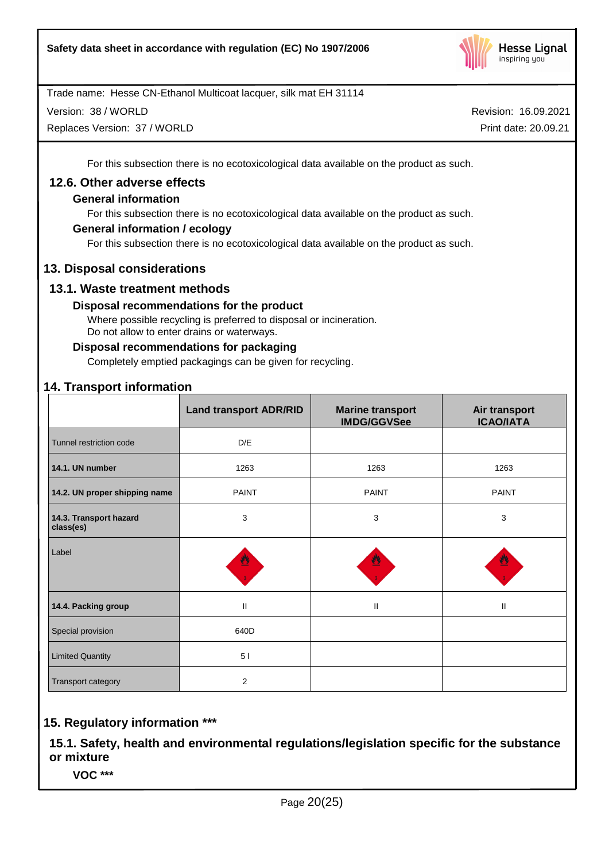

Version: 38 / WORLD

Replaces Version: 37 / WORLD

Revision: 16.09.2021 Print date: 20.09.21

For this subsection there is no ecotoxicological data available on the product as such.

### **12.6. Other adverse effects**

### **General information**

For this subsection there is no ecotoxicological data available on the product as such.

### **General information / ecology**

For this subsection there is no ecotoxicological data available on the product as such.

### **13. Disposal considerations**

### **13.1. Waste treatment methods**

### **Disposal recommendations for the product**

Where possible recycling is preferred to disposal or incineration. Do not allow to enter drains or waterways.

### **Disposal recommendations for packaging**

Completely emptied packagings can be given for recycling.

# **14. Transport information**

|                                     | <b>Land transport ADR/RID</b> | <b>Marine transport</b><br><b>IMDG/GGVSee</b> | Air transport<br><b>ICAO/IATA</b> |
|-------------------------------------|-------------------------------|-----------------------------------------------|-----------------------------------|
| Tunnel restriction code             | D/E                           |                                               |                                   |
| 14.1. UN number                     | 1263                          | 1263                                          | 1263                              |
| 14.2. UN proper shipping name       | <b>PAINT</b>                  | <b>PAINT</b>                                  | <b>PAINT</b>                      |
| 14.3. Transport hazard<br>class(es) | 3                             | 3                                             | 3                                 |
| Label                               | 썐                             |                                               | ฃ                                 |
| 14.4. Packing group                 | $\mathbf{II}$                 | $\mathbf{I}$                                  | $\mathbf{II}$                     |
| Special provision                   | 640D                          |                                               |                                   |
| <b>Limited Quantity</b>             | 51                            |                                               |                                   |
| Transport category                  | 2                             |                                               |                                   |

# **15. Regulatory information \*\*\***

**15.1. Safety, health and environmental regulations/legislation specific for the substance or mixture**

**VOC \*\*\***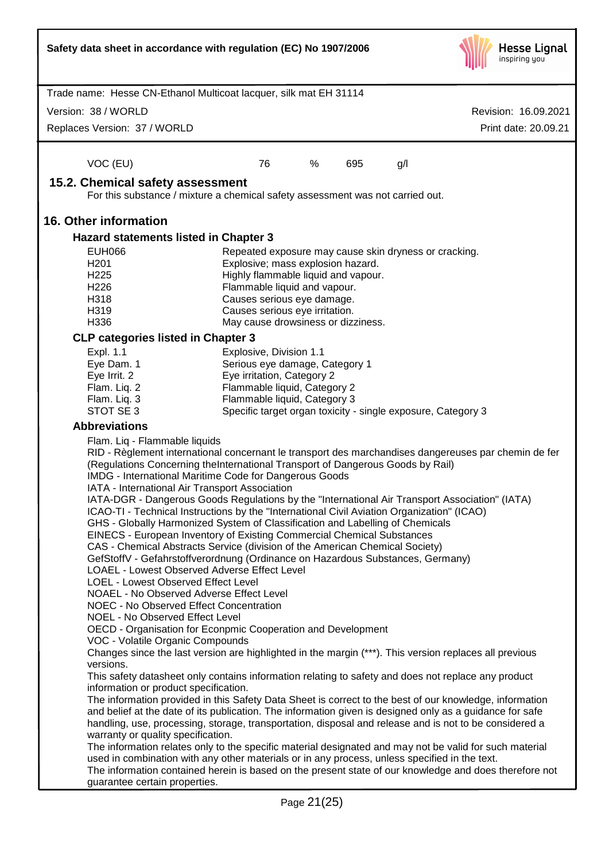|                                                                                                                                                                                                                     | Safety data sheet in accordance with regulation (EC) No 1907/2006                                                                                                                                       | <b>Hesse Lignal</b><br>inspiring you |  |  |  |
|---------------------------------------------------------------------------------------------------------------------------------------------------------------------------------------------------------------------|---------------------------------------------------------------------------------------------------------------------------------------------------------------------------------------------------------|--------------------------------------|--|--|--|
|                                                                                                                                                                                                                     | Trade name: Hesse CN-Ethanol Multicoat lacquer, silk mat EH 31114                                                                                                                                       |                                      |  |  |  |
| Version: 38 / WORLD                                                                                                                                                                                                 |                                                                                                                                                                                                         | Revision: 16.09.2021                 |  |  |  |
| Replaces Version: 37 / WORLD                                                                                                                                                                                        |                                                                                                                                                                                                         | Print date: 20.09.21                 |  |  |  |
| VOC (EU)                                                                                                                                                                                                            | 76<br>%<br>695<br>g/l                                                                                                                                                                                   |                                      |  |  |  |
| 15.2. Chemical safety assessment                                                                                                                                                                                    |                                                                                                                                                                                                         |                                      |  |  |  |
|                                                                                                                                                                                                                     | For this substance / mixture a chemical safety assessment was not carried out.                                                                                                                          |                                      |  |  |  |
| <b>16. Other information</b>                                                                                                                                                                                        |                                                                                                                                                                                                         |                                      |  |  |  |
| Hazard statements listed in Chapter 3                                                                                                                                                                               |                                                                                                                                                                                                         |                                      |  |  |  |
| <b>EUH066</b>                                                                                                                                                                                                       | Repeated exposure may cause skin dryness or cracking.                                                                                                                                                   |                                      |  |  |  |
| H <sub>201</sub><br>H <sub>225</sub>                                                                                                                                                                                | Explosive; mass explosion hazard.<br>Highly flammable liquid and vapour.                                                                                                                                |                                      |  |  |  |
| H226                                                                                                                                                                                                                | Flammable liquid and vapour.                                                                                                                                                                            |                                      |  |  |  |
| H318                                                                                                                                                                                                                | Causes serious eye damage.                                                                                                                                                                              |                                      |  |  |  |
| H319                                                                                                                                                                                                                | Causes serious eye irritation.                                                                                                                                                                          |                                      |  |  |  |
| H336                                                                                                                                                                                                                | May cause drowsiness or dizziness.                                                                                                                                                                      |                                      |  |  |  |
| <b>CLP categories listed in Chapter 3</b>                                                                                                                                                                           |                                                                                                                                                                                                         |                                      |  |  |  |
| Expl. 1.1<br>Eye Dam. 1                                                                                                                                                                                             | Explosive, Division 1.1<br>Serious eye damage, Category 1                                                                                                                                               |                                      |  |  |  |
| Eye Irrit. 2                                                                                                                                                                                                        | Eye irritation, Category 2                                                                                                                                                                              |                                      |  |  |  |
| Flam. Liq. 2                                                                                                                                                                                                        | Flammable liquid, Category 2                                                                                                                                                                            |                                      |  |  |  |
| Flam. Liq. 3<br>STOT SE 3                                                                                                                                                                                           | Flammable liquid, Category 3<br>Specific target organ toxicity - single exposure, Category 3                                                                                                            |                                      |  |  |  |
| <b>Abbreviations</b>                                                                                                                                                                                                |                                                                                                                                                                                                         |                                      |  |  |  |
| Flam. Liq - Flammable liquids                                                                                                                                                                                       |                                                                                                                                                                                                         |                                      |  |  |  |
|                                                                                                                                                                                                                     | RID - Règlement international concernant le transport des marchandises dangereuses par chemin de fer                                                                                                    |                                      |  |  |  |
|                                                                                                                                                                                                                     | (Regulations Concerning theInternational Transport of Dangerous Goods by Rail)                                                                                                                          |                                      |  |  |  |
|                                                                                                                                                                                                                     | <b>IMDG</b> - International Maritime Code for Dangerous Goods<br>IATA - International Air Transport Association                                                                                         |                                      |  |  |  |
|                                                                                                                                                                                                                     | IATA-DGR - Dangerous Goods Regulations by the "International Air Transport Association" (IATA)                                                                                                          |                                      |  |  |  |
|                                                                                                                                                                                                                     | ICAO-TI - Technical Instructions by the "International Civil Aviation Organization" (ICAO)                                                                                                              |                                      |  |  |  |
|                                                                                                                                                                                                                     | GHS - Globally Harmonized System of Classification and Labelling of Chemicals                                                                                                                           |                                      |  |  |  |
| EINECS - European Inventory of Existing Commercial Chemical Substances<br>CAS - Chemical Abstracts Service (division of the American Chemical Society)                                                              |                                                                                                                                                                                                         |                                      |  |  |  |
| GefStoffV - Gefahrstoffverordnung (Ordinance on Hazardous Substances, Germany)                                                                                                                                      |                                                                                                                                                                                                         |                                      |  |  |  |
|                                                                                                                                                                                                                     | <b>LOAEL - Lowest Observed Adverse Effect Level</b>                                                                                                                                                     |                                      |  |  |  |
| LOEL - Lowest Observed Effect Level                                                                                                                                                                                 | NOAEL - No Observed Adverse Effect Level                                                                                                                                                                |                                      |  |  |  |
| <b>NOEC - No Observed Effect Concentration</b>                                                                                                                                                                      |                                                                                                                                                                                                         |                                      |  |  |  |
|                                                                                                                                                                                                                     | NOEL - No Observed Effect Level                                                                                                                                                                         |                                      |  |  |  |
|                                                                                                                                                                                                                     | OECD - Organisation for Econpmic Cooperation and Development                                                                                                                                            |                                      |  |  |  |
| VOC - Volatile Organic Compounds<br>Changes since the last version are highlighted in the margin (***). This version replaces all previous                                                                          |                                                                                                                                                                                                         |                                      |  |  |  |
| versions.<br>This safety datasheet only contains information relating to safety and does not replace any product                                                                                                    |                                                                                                                                                                                                         |                                      |  |  |  |
| information or product specification.                                                                                                                                                                               |                                                                                                                                                                                                         |                                      |  |  |  |
| The information provided in this Safety Data Sheet is correct to the best of our knowledge, information<br>and belief at the date of its publication. The information given is designed only as a guidance for safe |                                                                                                                                                                                                         |                                      |  |  |  |
| handling, use, processing, storage, transportation, disposal and release and is not to be considered a                                                                                                              |                                                                                                                                                                                                         |                                      |  |  |  |
| warranty or quality specification.                                                                                                                                                                                  |                                                                                                                                                                                                         |                                      |  |  |  |
|                                                                                                                                                                                                                     | The information relates only to the specific material designated and may not be valid for such material                                                                                                 |                                      |  |  |  |
|                                                                                                                                                                                                                     | used in combination with any other materials or in any process, unless specified in the text.<br>The information contained herein is based on the present state of our knowledge and does therefore not |                                      |  |  |  |
| guarantee certain properties.                                                                                                                                                                                       |                                                                                                                                                                                                         |                                      |  |  |  |
|                                                                                                                                                                                                                     | Page 21(25)                                                                                                                                                                                             |                                      |  |  |  |
|                                                                                                                                                                                                                     |                                                                                                                                                                                                         |                                      |  |  |  |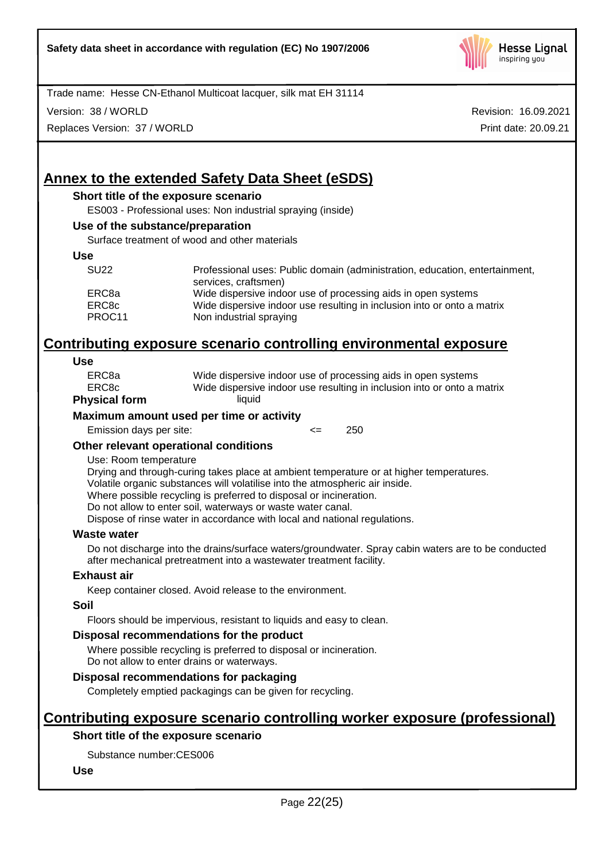

Version: 38 / WORLD

Replaces Version: 37 / WORLD

Revision: 16.09.2021 Print date: 20.09.21

# **Annex to the extended Safety Data Sheet (eSDS)**

### **Short title of the exposure scenario**

ES003 - Professional uses: Non industrial spraying (inside)

#### **Use of the substance/preparation**

Surface treatment of wood and other materials

#### **Use**

| <b>SU22</b> | Professional uses: Public domain (administration, education, entertainment,<br>services, craftsmen) |
|-------------|-----------------------------------------------------------------------------------------------------|
| ERC8a       | Wide dispersive indoor use of processing aids in open systems                                       |
| ERC8c       | Wide dispersive indoor use resulting in inclusion into or onto a matrix                             |
| PROC11      | Non industrial spraying                                                                             |

# **Contributing exposure scenario controlling environmental exposure**

#### **Use**

| ERC8c<br>vsical form. | Wide dispersive indoor use resulting in inclusion into or onto a matrix<br>liauid |
|-----------------------|-----------------------------------------------------------------------------------|
|                       |                                                                                   |
| ERC8a                 | Wide dispersive indoor use of processing aids in open systems                     |
|                       |                                                                                   |

# **Physical form**

#### **Maximum amount used per time or activity**

Emission days per site:  $\leq$  250

### **Other relevant operational conditions**

#### Use: Room temperature

Drying and through-curing takes place at ambient temperature or at higher temperatures. Volatile organic substances will volatilise into the atmospheric air inside.

Where possible recycling is preferred to disposal or incineration.

Do not allow to enter soil, waterways or waste water canal.

Dispose of rinse water in accordance with local and national regulations.

#### **Waste water**

Do not discharge into the drains/surface waters/groundwater. Spray cabin waters are to be conducted after mechanical pretreatment into a wastewater treatment facility.

#### **Exhaust air**

Keep container closed. Avoid release to the environment.

#### **Soil**

Floors should be impervious, resistant to liquids and easy to clean.

#### **Disposal recommendations for the product**

Where possible recycling is preferred to disposal or incineration. Do not allow to enter drains or waterways.

# **Disposal recommendations for packaging**

Completely emptied packagings can be given for recycling.

# **Contributing exposure scenario controlling worker exposure (professional)**

# **Short title of the exposure scenario**

Substance number:CES006

### **Use**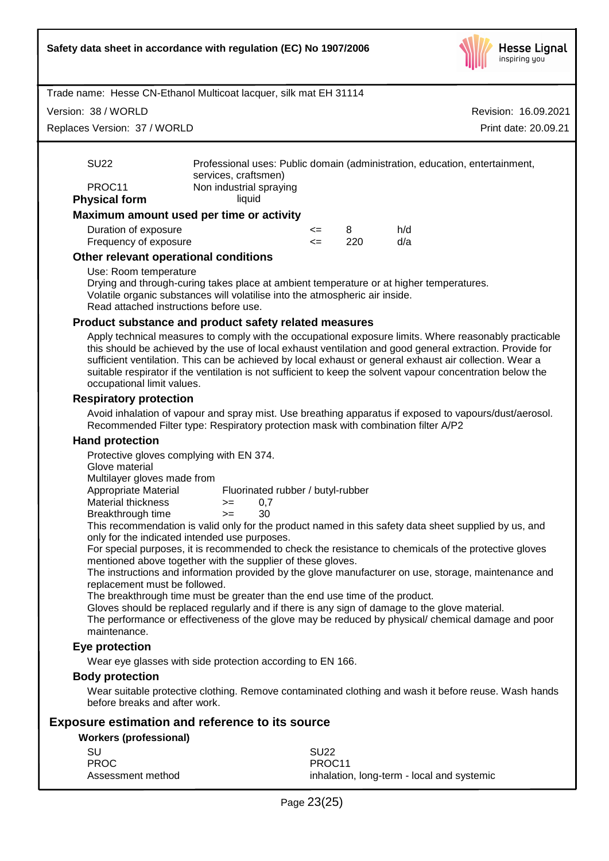

Version: 38 / WORLD

Replaces Version: 37 / WORLD

Revision: 16.09.2021 Print date: 20.09.21

|                      | Maximum amount used per time or activity                                                            |
|----------------------|-----------------------------------------------------------------------------------------------------|
| <b>Physical form</b> | liauid                                                                                              |
| PROC <sub>11</sub>   | Non industrial spraying                                                                             |
| SU <sub>22</sub>     | Professional uses: Public domain (administration, education, entertainment,<br>services, craftsmen) |

| Duration of exposure  | <= |     | h/d |
|-----------------------|----|-----|-----|
| Frequency of exposure |    | 220 | d/a |

### **Other relevant operational conditions**

#### Use: Room temperature

Drying and through-curing takes place at ambient temperature or at higher temperatures. Volatile organic substances will volatilise into the atmospheric air inside. Read attached instructions before use.

#### **Product substance and product safety related measures**

Apply technical measures to comply with the occupational exposure limits. Where reasonably practicable this should be achieved by the use of local exhaust ventilation and good general extraction. Provide for sufficient ventilation. This can be achieved by local exhaust or general exhaust air collection. Wear a suitable respirator if the ventilation is not sufficient to keep the solvent vapour concentration below the occupational limit values.

### **Respiratory protection**

Avoid inhalation of vapour and spray mist. Use breathing apparatus if exposed to vapours/dust/aerosol. Recommended Filter type: Respiratory protection mask with combination filter A/P2

#### **Hand protection**

Protective gloves complying with EN 374.

Glove material

Multilayer gloves made from

| Appropriate Material |      | Fluorinated rubber / butyl-rubber |
|----------------------|------|-----------------------------------|
| Material thickness   | $>=$ | (1)                               |
| Breakthrough time    | $>=$ | 30                                |

This recommendation is valid only for the product named in this safety data sheet supplied by us, and only for the indicated intended use purposes.

For special purposes, it is recommended to check the resistance to chemicals of the protective gloves mentioned above together with the supplier of these gloves.

The instructions and information provided by the glove manufacturer on use, storage, maintenance and replacement must be followed.

The breakthrough time must be greater than the end use time of the product.

Gloves should be replaced regularly and if there is any sign of damage to the glove material.

The performance or effectiveness of the glove may be reduced by physical/ chemical damage and poor maintenance.

### **Eye protection**

Wear eye glasses with side protection according to EN 166.

### **Body protection**

Wear suitable protective clothing. Remove contaminated clothing and wash it before reuse. Wash hands before breaks and after work.

### **Exposure estimation and reference to its source**

#### **Workers (professional)**

| -SU               | <b>SU22</b>                                |
|-------------------|--------------------------------------------|
| <b>PROC</b>       | PROC <sub>11</sub>                         |
| Assessment method | inhalation, long-term - local and systemic |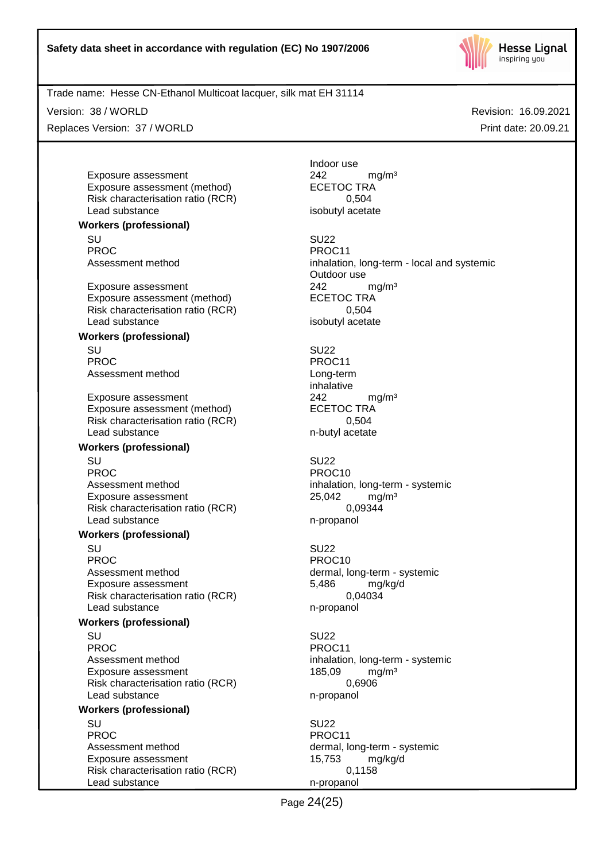

Version: 38 / WORLD

Replaces Version: 37 / WORLD

Revision: 16.09.2021 Print date: 20.09.21

Exposure assessment <br>
Exposure assessment (method) 
<br>
ECETOC TRA Exposure assessment (method) Risk characterisation ratio (RCR) 0,504 Lead substance isobutyl acetate

**Workers (professional)**

SU SU22 PROC PROC11<br>Assessment method example and proportional proportional proportional proportional proportional proportional pr<br>Assessment method by the proportional proportional proportional proportional proportional proportio

Exposure assessment <br>
Exposure assessment (method) 
<br>
EXPOSURE ASSESSMENT CONTRA Exposure assessment (method) Risk characterisation ratio (RCR) 0,504 Lead substance isobutyl acetate

### **Workers (professional)**

SU SU22 PROC PROCTER PROCTER PROCTER PROCTER PROCTER PROCTER PROCTER PROCTER PROCTER PROCTER PROCTER PROCTER PROCTER PROCTER PROCTER PROCTER PROCTER PROCTER PROCTER PROCTER PROCTER PROCTER PROCTER PROCTER PROCTER PROCTER PROCTER P Assessment method Long-term

Exposure assessment <br>
Exposure assessment (method) 
<br>
ECETOC TRA Exposure assessment (method) Risk characterisation ratio (RCR) 0,504 Lead substance n-butyl acetate

#### **Workers (professional)**

SU SU22 PROC PROCTER PROCTER PROCTER PROCTER PROCTER PROCTER PROCTER PROCTER PROCTER PROCTER PROCTER PROCTER PROCTER PROCTER PROCTER PROCTER PROCTER PROCTER PROCTER PROCTER PROCTER PROCTER PROCTER PROCTER PROCTER PROCTER PROCTER P Assessment method inhalation, long-term - systemic Exposure assessment 25,042 mg/m<sup>3</sup><br>Risk characterisation ratio (RCR) 6.09344 Risk characterisation ratio (RCR) Lead substance n-propanol

#### **Workers (professional)**

SU SU22 PROC PROC10 Assessment method dermal, long-term - systemic Exposure assessment 6,486 mg/kg/d Risk characterisation ratio (RCR) 0,04034 Lead substance n-propanol

#### **Workers (professional)**

SU SU22 PROC PROCTER PROC11 Assessment method inhalation, long-term - systemic Exposure assessment 185,09 mg/m<sup>3</sup> Risk characterisation ratio (RCR) 0,6906 Lead substance n-propanol

# **Workers (professional)**

SU SU22 PROC PROCTER PROCTER PROCTER PROCTER PROCTER PROCTER PROCTER PROCTER PROCTER PROCTER PROCTER PROCTER PROCTER PROCTER PROCTER PROCTER PROCTER PROCTER PROCTER PROCTER PROCTER PROCTER PROCTER PROCTER PROCTER PROCTER PROCTER P Assessment method dermal, long-term - systemic Exposure assessment 15,753 mg/kg/d Risk characterisation ratio (RCR) 0,1158 Lead substance n-propanol

Indoor use

inhalation, long-term - local and systemic Outdoor use

inhalative

Page 24(25)